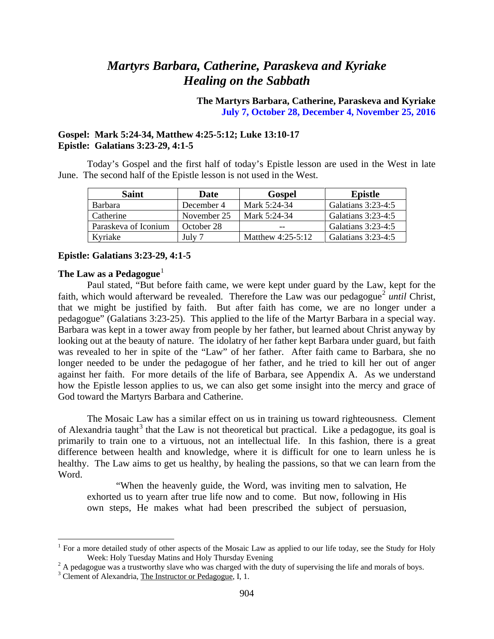## *Martyrs Barbara, Catherine, Paraskeva and Kyriake Healing on the Sabbath*

**The Martyrs Barbara, Catherine, Paraskeva and Kyriake July 7, October 28, December 4, November 25, 2016**

## **Gospel: Mark 5:24-34, Matthew 4:25-5:12; Luke 13:10-17 Epistle: Galatians 3:23-29, 4:1-5**

Today's Gospel and the first half of today's Epistle lesson are used in the West in late June. The second half of the Epistle lesson is not used in the West.

| Saint                | Date        | Gospel            | <b>Epistle</b>     |
|----------------------|-------------|-------------------|--------------------|
| <b>Barbara</b>       | December 4  | Mark 5:24-34      | Galatians 3:23-4:5 |
| Catherine            | November 25 | Mark 5:24-34      | Galatians 3:23-4:5 |
| Paraskeva of Iconium | October 28  | $- -$             | Galatians 3:23-4:5 |
| Kyriake              | July 7      | Matthew 4:25-5:12 | Galatians 3:23-4:5 |

#### **Epistle: Galatians 3:23-29, 4:1-5**

#### **The Law as a Pedagogue**<sup>[1](#page-0-0)</sup>

Paul stated, "But before faith came, we were kept under guard by the Law, kept for the faith, which would afterward be revealed. Therefore the Law was our pedagogue<sup>[2](#page-0-1)</sup> *until* Christ, that we might be justified by faith. But after faith has come, we are no longer under a pedagogue" (Galatians 3:23-25). This applied to the life of the Martyr Barbara in a special way. Barbara was kept in a tower away from people by her father, but learned about Christ anyway by looking out at the beauty of nature. The idolatry of her father kept Barbara under guard, but faith was revealed to her in spite of the "Law" of her father. After faith came to Barbara, she no longer needed to be under the pedagogue of her father, and he tried to kill her out of anger against her faith. For more details of the life of Barbara, see Appendix A. As we understand how the Epistle lesson applies to us, we can also get some insight into the mercy and grace of God toward the Martyrs Barbara and Catherine.

The Mosaic Law has a similar effect on us in training us toward righteousness. Clement of Alexandria taught<sup>[3](#page-0-2)</sup> that the Law is not theoretical but practical. Like a pedagogue, its goal is primarily to train one to a virtuous, not an intellectual life. In this fashion, there is a great difference between health and knowledge, where it is difficult for one to learn unless he is healthy. The Law aims to get us healthy, by healing the passions, so that we can learn from the Word.

"When the heavenly guide, the Word, was inviting men to salvation, He exhorted us to yearn after true life now and to come. But now, following in His own steps, He makes what had been prescribed the subject of persuasion,

<span id="page-0-0"></span><sup>&</sup>lt;sup>1</sup> For a more detailed study of other aspects of the Mosaic Law as applied to our life today, see the Study for Holy Week: Holy Tuesday Matins and Holy Thursday Evening

<span id="page-0-1"></span><sup>&</sup>lt;sup>2</sup> A pedagogue was a trustworthy slave who was charged with the duty of supervising the life and morals of boys. <sup>3</sup> Clement of Alexandria, The Instructor or Pedagogue, I, 1.

<span id="page-0-2"></span>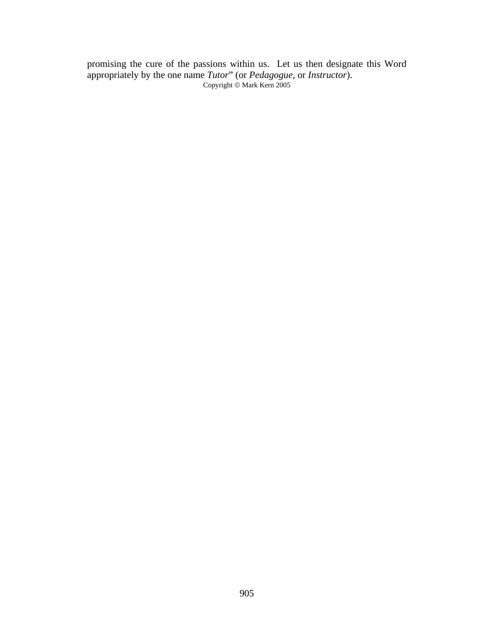promising the cure of the passions within us. Let us then designate this Word appropriately by the one name *Tutor*" (or *Pedagogue*, or *Instructor*). Copyright © Mark Kern 2005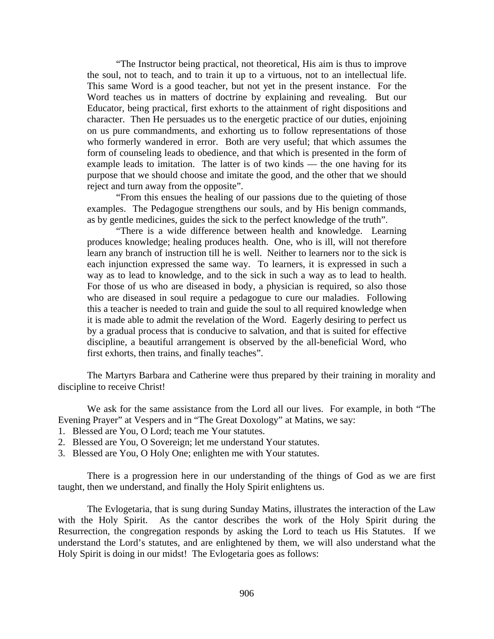"The Instructor being practical, not theoretical, His aim is thus to improve the soul, not to teach, and to train it up to a virtuous, not to an intellectual life. This same Word is a good teacher, but not yet in the present instance. For the Word teaches us in matters of doctrine by explaining and revealing. But our Educator, being practical, first exhorts to the attainment of right dispositions and character. Then He persuades us to the energetic practice of our duties, enjoining on us pure commandments, and exhorting us to follow representations of those who formerly wandered in error. Both are very useful; that which assumes the form of counseling leads to obedience, and that which is presented in the form of example leads to imitation. The latter is of two kinds — the one having for its purpose that we should choose and imitate the good, and the other that we should reject and turn away from the opposite".

"From this ensues the healing of our passions due to the quieting of those examples. The Pedagogue strengthens our souls, and by His benign commands, as by gentle medicines, guides the sick to the perfect knowledge of the truth".

"There is a wide difference between health and knowledge. Learning produces knowledge; healing produces health. One, who is ill, will not therefore learn any branch of instruction till he is well. Neither to learners nor to the sick is each injunction expressed the same way. To learners, it is expressed in such a way as to lead to knowledge, and to the sick in such a way as to lead to health. For those of us who are diseased in body, a physician is required, so also those who are diseased in soul require a pedagogue to cure our maladies. Following this a teacher is needed to train and guide the soul to all required knowledge when it is made able to admit the revelation of the Word. Eagerly desiring to perfect us by a gradual process that is conducive to salvation, and that is suited for effective discipline, a beautiful arrangement is observed by the all-beneficial Word, who first exhorts, then trains, and finally teaches".

The Martyrs Barbara and Catherine were thus prepared by their training in morality and discipline to receive Christ!

We ask for the same assistance from the Lord all our lives. For example, in both "The Evening Prayer" at Vespers and in "The Great Doxology" at Matins, we say:

- 1. Blessed are You, O Lord; teach me Your statutes.
- 2. Blessed are You, O Sovereign; let me understand Your statutes.
- 3. Blessed are You, O Holy One; enlighten me with Your statutes.

There is a progression here in our understanding of the things of God as we are first taught, then we understand, and finally the Holy Spirit enlightens us.

The Evlogetaria, that is sung during Sunday Matins, illustrates the interaction of the Law with the Holy Spirit. As the cantor describes the work of the Holy Spirit during the Resurrection, the congregation responds by asking the Lord to teach us His Statutes. If we understand the Lord's statutes, and are enlightened by them, we will also understand what the Holy Spirit is doing in our midst! The Evlogetaria goes as follows: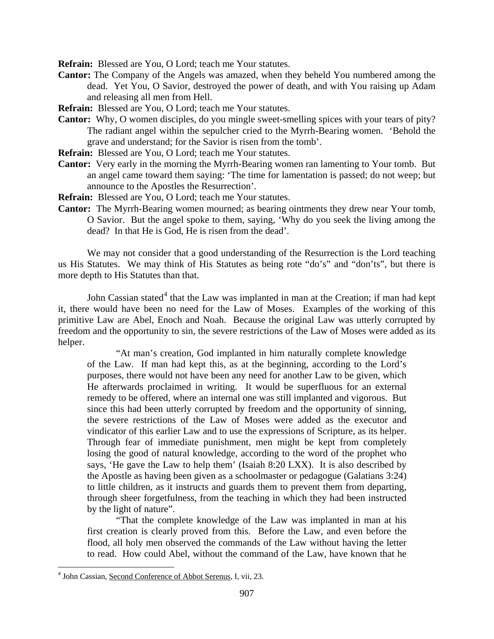**Refrain:** Blessed are You, O Lord; teach me Your statutes.

**Cantor:** The Company of the Angels was amazed, when they beheld You numbered among the dead. Yet You, O Savior, destroyed the power of death, and with You raising up Adam and releasing all men from Hell.

**Refrain:** Blessed are You, O Lord; teach me Your statutes.

- **Cantor:** Why, O women disciples, do you mingle sweet-smelling spices with your tears of pity? The radiant angel within the sepulcher cried to the Myrrh-Bearing women. 'Behold the grave and understand; for the Savior is risen from the tomb'.
- **Refrain:** Blessed are You, O Lord; teach me Your statutes.
- **Cantor:** Very early in the morning the Myrrh-Bearing women ran lamenting to Your tomb. But an angel came toward them saying: 'The time for lamentation is passed; do not weep; but announce to the Apostles the Resurrection'.
- **Refrain:** Blessed are You, O Lord; teach me Your statutes.
- **Cantor:** The Myrrh-Bearing women mourned; as bearing ointments they drew near Your tomb, O Savior. But the angel spoke to them, saying, 'Why do you seek the living among the dead? In that He is God, He is risen from the dead'.

We may not consider that a good understanding of the Resurrection is the Lord teaching us His Statutes. We may think of His Statutes as being rote "do's" and "don'ts", but there is more depth to His Statutes than that.

John Cassian stated<sup>[4](#page-3-0)</sup> that the Law was implanted in man at the Creation; if man had kept it, there would have been no need for the Law of Moses. Examples of the working of this primitive Law are Abel, Enoch and Noah. Because the original Law was utterly corrupted by freedom and the opportunity to sin, the severe restrictions of the Law of Moses were added as its helper.

"At man's creation, God implanted in him naturally complete knowledge of the Law. If man had kept this, as at the beginning, according to the Lord's purposes, there would not have been any need for another Law to be given, which He afterwards proclaimed in writing. It would be superfluous for an external remedy to be offered, where an internal one was still implanted and vigorous. But since this had been utterly corrupted by freedom and the opportunity of sinning, the severe restrictions of the Law of Moses were added as the executor and vindicator of this earlier Law and to use the expressions of Scripture, as its helper. Through fear of immediate punishment, men might be kept from completely losing the good of natural knowledge, according to the word of the prophet who says, 'He gave the Law to help them' (Isaiah 8:20 LXX). It is also described by the Apostle as having been given as a schoolmaster or pedagogue (Galatians 3:24) to little children, as it instructs and guards them to prevent them from departing, through sheer forgetfulness, from the teaching in which they had been instructed by the light of nature".

"That the complete knowledge of the Law was implanted in man at his first creation is clearly proved from this. Before the Law, and even before the flood, all holy men observed the commands of the Law without having the letter to read. How could Abel, without the command of the Law, have known that he

<span id="page-3-0"></span> <sup>4</sup> John Cassian, Second Conference of Abbot Serenus, I, vii, 23.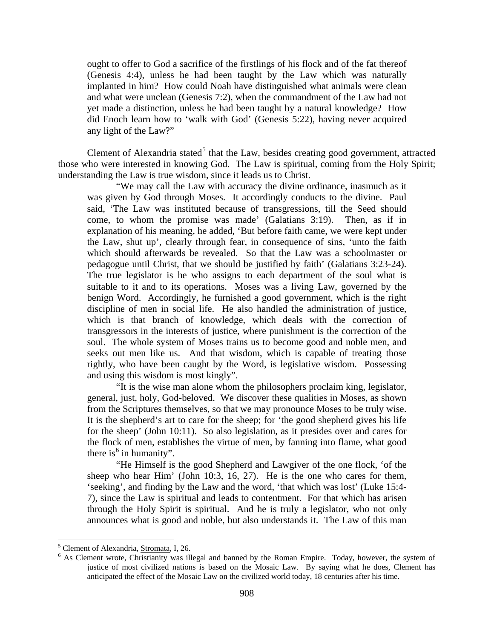ought to offer to God a sacrifice of the firstlings of his flock and of the fat thereof (Genesis 4:4), unless he had been taught by the Law which was naturally implanted in him? How could Noah have distinguished what animals were clean and what were unclean (Genesis 7:2), when the commandment of the Law had not yet made a distinction, unless he had been taught by a natural knowledge? How did Enoch learn how to 'walk with God' (Genesis 5:22), having never acquired any light of the Law?"

Clement of Alexandria stated<sup>[5](#page-4-0)</sup> that the Law, besides creating good government, attracted those who were interested in knowing God. The Law is spiritual, coming from the Holy Spirit; understanding the Law is true wisdom, since it leads us to Christ.

"We may call the Law with accuracy the divine ordinance, inasmuch as it was given by God through Moses. It accordingly conducts to the divine. Paul said, 'The Law was instituted because of transgressions, till the Seed should come, to whom the promise was made' (Galatians 3:19). Then, as if in explanation of his meaning, he added, 'But before faith came, we were kept under the Law, shut up', clearly through fear, in consequence of sins, 'unto the faith which should afterwards be revealed. So that the Law was a schoolmaster or pedagogue until Christ, that we should be justified by faith' (Galatians 3:23-24). The true legislator is he who assigns to each department of the soul what is suitable to it and to its operations. Moses was a living Law, governed by the benign Word. Accordingly, he furnished a good government, which is the right discipline of men in social life. He also handled the administration of justice, which is that branch of knowledge, which deals with the correction of transgressors in the interests of justice, where punishment is the correction of the soul. The whole system of Moses trains us to become good and noble men, and seeks out men like us. And that wisdom, which is capable of treating those rightly, who have been caught by the Word, is legislative wisdom. Possessing and using this wisdom is most kingly".

"It is the wise man alone whom the philosophers proclaim king, legislator, general, just, holy, God-beloved. We discover these qualities in Moses, as shown from the Scriptures themselves, so that we may pronounce Moses to be truly wise. It is the shepherd's art to care for the sheep; for 'the good shepherd gives his life for the sheep' (John 10:11). So also legislation, as it presides over and cares for the flock of men, establishes the virtue of men, by fanning into flame, what good there is  $6$  in humanity".

"He Himself is the good Shepherd and Lawgiver of the one flock, 'of the sheep who hear Him' (John 10:3, 16, 27). He is the one who cares for them, 'seeking', and finding by the Law and the word, 'that which was lost' (Luke 15:4- 7), since the Law is spiritual and leads to contentment. For that which has arisen through the Holy Spirit is spiritual. And he is truly a legislator, who not only announces what is good and noble, but also understands it. The Law of this man

<span id="page-4-1"></span><span id="page-4-0"></span><sup>&</sup>lt;sup>5</sup> Clement of Alexandria, Stromata, I, 26. 6 As Clement wrote, Christianity was illegal and banned by the Roman Empire. Today, however, the system of justice of most civilized nations is based on the Mosaic Law. By saying what he does, Clement has anticipated the effect of the Mosaic Law on the civilized world today, 18 centuries after his time.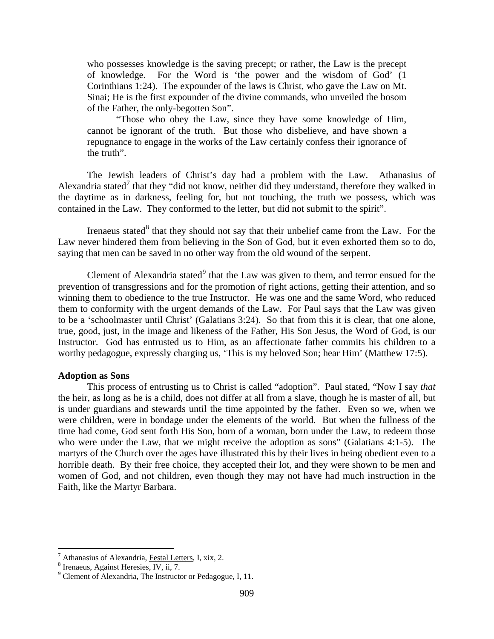who possesses knowledge is the saving precept; or rather, the Law is the precept of knowledge. For the Word is 'the power and the wisdom of God' (1 Corinthians 1:24). The expounder of the laws is Christ, who gave the Law on Mt. Sinai; He is the first expounder of the divine commands, who unveiled the bosom of the Father, the only-begotten Son".

"Those who obey the Law, since they have some knowledge of Him, cannot be ignorant of the truth. But those who disbelieve, and have shown a repugnance to engage in the works of the Law certainly confess their ignorance of the truth".

The Jewish leaders of Christ's day had a problem with the Law. Athanasius of Alexandria stated<sup>[7](#page-5-0)</sup> that they "did not know, neither did they understand, therefore they walked in the daytime as in darkness, feeling for, but not touching, the truth we possess, which was contained in the Law. They conformed to the letter, but did not submit to the spirit".

Irenaeus stated $8$  that they should not say that their unbelief came from the Law. For the Law never hindered them from believing in the Son of God, but it even exhorted them so to do, saying that men can be saved in no other way from the old wound of the serpent.

Clement of Alexandria stated $9$  that the Law was given to them, and terror ensued for the prevention of transgressions and for the promotion of right actions, getting their attention, and so winning them to obedience to the true Instructor. He was one and the same Word, who reduced them to conformity with the urgent demands of the Law. For Paul says that the Law was given to be a 'schoolmaster until Christ' (Galatians 3:24). So that from this it is clear, that one alone, true, good, just, in the image and likeness of the Father, His Son Jesus, the Word of God, is our Instructor. God has entrusted us to Him, as an affectionate father commits his children to a worthy pedagogue, expressly charging us, 'This is my beloved Son; hear Him' (Matthew 17:5).

#### **Adoption as Sons**

This process of entrusting us to Christ is called "adoption". Paul stated, "Now I say *that* the heir, as long as he is a child, does not differ at all from a slave, though he is master of all, but is under guardians and stewards until the time appointed by the father. Even so we, when we were children, were in bondage under the elements of the world. But when the fullness of the time had come, God sent forth His Son, born of a woman, born under the Law, to redeem those who were under the Law, that we might receive the adoption as sons" (Galatians 4:1-5). The martyrs of the Church over the ages have illustrated this by their lives in being obedient even to a horrible death. By their free choice, they accepted their lot, and they were shown to be men and women of God, and not children, even though they may not have had much instruction in the Faith, like the Martyr Barbara.

<span id="page-5-0"></span><sup>&</sup>lt;sup>7</sup> Athanasius of Alexandria, <u>Festal Letters</u>, I, xix, 2.<br><sup>8</sup> Irenaeus, Against Heresies, IV, ii, 7.<br><sup>9</sup> Clement of Alexandria, The Instructor or Pedagogue, I, 11.

<span id="page-5-1"></span>

<span id="page-5-2"></span>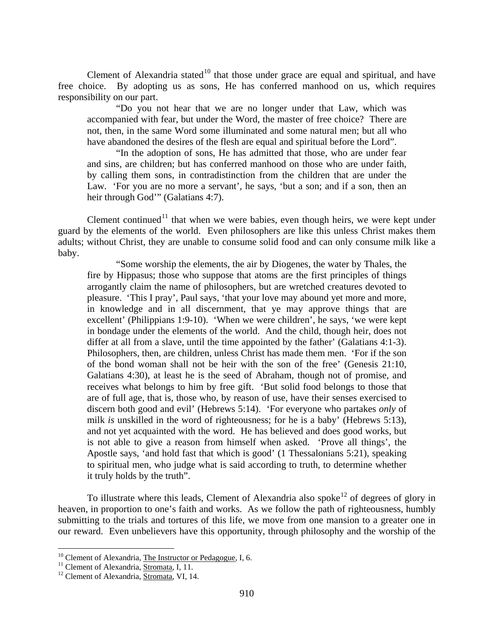Clement of Alexandria stated<sup>[10](#page-6-0)</sup> that those under grace are equal and spiritual, and have free choice. By adopting us as sons, He has conferred manhood on us, which requires responsibility on our part.

"Do you not hear that we are no longer under that Law, which was accompanied with fear, but under the Word, the master of free choice? There are not, then, in the same Word some illuminated and some natural men; but all who have abandoned the desires of the flesh are equal and spiritual before the Lord".

"In the adoption of sons, He has admitted that those, who are under fear and sins, are children; but has conferred manhood on those who are under faith, by calling them sons, in contradistinction from the children that are under the Law. 'For you are no more a servant', he says, 'but a son; and if a son, then an heir through God'" (Galatians 4:7).

Clement continued<sup>[11](#page-6-1)</sup> that when we were babies, even though heirs, we were kept under guard by the elements of the world. Even philosophers are like this unless Christ makes them adults; without Christ, they are unable to consume solid food and can only consume milk like a baby.

"Some worship the elements, the air by Diogenes, the water by Thales, the fire by Hippasus; those who suppose that atoms are the first principles of things arrogantly claim the name of philosophers, but are wretched creatures devoted to pleasure. 'This I pray', Paul says, 'that your love may abound yet more and more, in knowledge and in all discernment, that ye may approve things that are excellent' (Philippians 1:9-10). 'When we were children', he says, 'we were kept in bondage under the elements of the world. And the child, though heir, does not differ at all from a slave, until the time appointed by the father' (Galatians 4:1-3). Philosophers, then, are children, unless Christ has made them men. 'For if the son of the bond woman shall not be heir with the son of the free' (Genesis 21:10, Galatians 4:30), at least he is the seed of Abraham, though not of promise, and receives what belongs to him by free gift. 'But solid food belongs to those that are of full age, that is, those who, by reason of use, have their senses exercised to discern both good and evil' (Hebrews 5:14). 'For everyone who partakes *only* of milk *is* unskilled in the word of righteousness; for he is a baby' (Hebrews 5:13), and not yet acquainted with the word. He has believed and does good works, but is not able to give a reason from himself when asked. 'Prove all things', the Apostle says, 'and hold fast that which is good' (1 Thessalonians 5:21), speaking to spiritual men, who judge what is said according to truth, to determine whether it truly holds by the truth".

To illustrate where this leads, Clement of Alexandria also spoke<sup>[12](#page-6-2)</sup> of degrees of glory in heaven, in proportion to one's faith and works. As we follow the path of righteousness, humbly submitting to the trials and tortures of this life, we move from one mansion to a greater one in our reward. Even unbelievers have this opportunity, through philosophy and the worship of the

<span id="page-6-0"></span><sup>&</sup>lt;sup>10</sup> Clement of Alexandria, <u>The Instructor or Pedagogue</u>, I, 6.<br><sup>11</sup> Clement of Alexandria, <u>Stromata</u>, I, 11.<br><sup>12</sup> Clement of Alexandria, <u>Stromata</u>, VI, 14.

<span id="page-6-1"></span>

<span id="page-6-2"></span>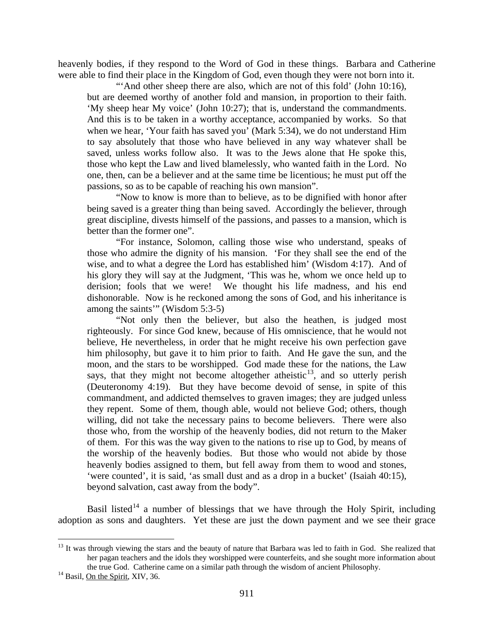heavenly bodies, if they respond to the Word of God in these things. Barbara and Catherine were able to find their place in the Kingdom of God, even though they were not born into it.

"And other sheep there are also, which are not of this fold' (John 10:16), but are deemed worthy of another fold and mansion, in proportion to their faith. 'My sheep hear My voice' (John 10:27); that is, understand the commandments. And this is to be taken in a worthy acceptance, accompanied by works. So that when we hear, 'Your faith has saved you' (Mark 5:34), we do not understand Him to say absolutely that those who have believed in any way whatever shall be saved, unless works follow also. It was to the Jews alone that He spoke this, those who kept the Law and lived blamelessly, who wanted faith in the Lord. No one, then, can be a believer and at the same time be licentious; he must put off the passions, so as to be capable of reaching his own mansion".

"Now to know is more than to believe, as to be dignified with honor after being saved is a greater thing than being saved. Accordingly the believer, through great discipline, divests himself of the passions, and passes to a mansion, which is better than the former one".

"For instance, Solomon, calling those wise who understand, speaks of those who admire the dignity of his mansion. 'For they shall see the end of the wise, and to what a degree the Lord has established him' (Wisdom 4:17). And of his glory they will say at the Judgment, 'This was he, whom we once held up to derision; fools that we were! We thought his life madness, and his end dishonorable. Now is he reckoned among the sons of God, and his inheritance is among the saints'" (Wisdom 5:3-5)

"Not only then the believer, but also the heathen, is judged most righteously. For since God knew, because of His omniscience, that he would not believe, He nevertheless, in order that he might receive his own perfection gave him philosophy, but gave it to him prior to faith. And He gave the sun, and the moon, and the stars to be worshipped. God made these for the nations, the Law says, that they might not become altogether atheistic<sup>13</sup>, and so utterly perish (Deuteronomy 4:19). But they have become devoid of sense, in spite of this commandment, and addicted themselves to graven images; they are judged unless they repent. Some of them, though able, would not believe God; others, though willing, did not take the necessary pains to become believers. There were also those who, from the worship of the heavenly bodies, did not return to the Maker of them. For this was the way given to the nations to rise up to God, by means of the worship of the heavenly bodies. But those who would not abide by those heavenly bodies assigned to them, but fell away from them to wood and stones, 'were counted', it is said, 'as small dust and as a drop in a bucket' (Isaiah 40:15), beyond salvation, cast away from the body".

Basil listed<sup>[14](#page-7-1)</sup> a number of blessings that we have through the Holy Spirit, including adoption as sons and daughters. Yet these are just the down payment and we see their grace

<span id="page-7-0"></span> $13$  It was through viewing the stars and the beauty of nature that Barbara was led to faith in God. She realized that her pagan teachers and the idols they worshipped were counterfeits, and she sought more information about the true God. Catherine came on a similar path through the wisdom of ancient Philosophy.<sup>14</sup> Basil, <u>On the Spirit</u>, XIV, 36.

<span id="page-7-1"></span>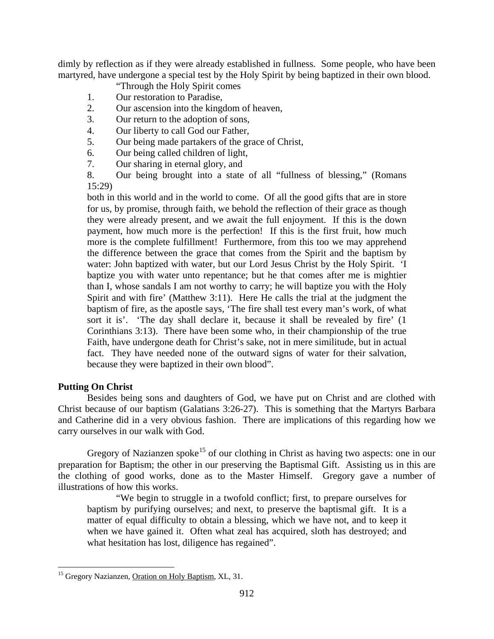dimly by reflection as if they were already established in fullness. Some people, who have been martyred, have undergone a special test by the Holy Spirit by being baptized in their own blood.

"Through the Holy Spirit comes

- 1. Our restoration to Paradise,
- 2. Our ascension into the kingdom of heaven,
- 3. Our return to the adoption of sons,
- 4. Our liberty to call God our Father,
- 5. Our being made partakers of the grace of Christ,
- 6. Our being called children of light,
- 7. Our sharing in eternal glory, and
- 8. Our being brought into a state of all "fullness of blessing," (Romans 15:29)

both in this world and in the world to come. Of all the good gifts that are in store for us, by promise, through faith, we behold the reflection of their grace as though they were already present, and we await the full enjoyment. If this is the down payment, how much more is the perfection! If this is the first fruit, how much more is the complete fulfillment! Furthermore, from this too we may apprehend the difference between the grace that comes from the Spirit and the baptism by water: John baptized with water, but our Lord Jesus Christ by the Holy Spirit. 'I baptize you with water unto repentance; but he that comes after me is mightier than I, whose sandals I am not worthy to carry; he will baptize you with the Holy Spirit and with fire' (Matthew 3:11). Here He calls the trial at the judgment the baptism of fire, as the apostle says, 'The fire shall test every man's work, of what sort it is'. 'The day shall declare it, because it shall be revealed by fire' (1 Corinthians 3:13). There have been some who, in their championship of the true Faith, have undergone death for Christ's sake, not in mere similitude, but in actual fact. They have needed none of the outward signs of water for their salvation, because they were baptized in their own blood".

## **Putting On Christ**

Besides being sons and daughters of God, we have put on Christ and are clothed with Christ because of our baptism (Galatians 3:26-27). This is something that the Martyrs Barbara and Catherine did in a very obvious fashion. There are implications of this regarding how we carry ourselves in our walk with God.

Gregory of Nazianzen spoke<sup>[15](#page-8-0)</sup> of our clothing in Christ as having two aspects: one in our preparation for Baptism; the other in our preserving the Baptismal Gift. Assisting us in this are the clothing of good works, done as to the Master Himself. Gregory gave a number of illustrations of how this works.

"We begin to struggle in a twofold conflict; first, to prepare ourselves for baptism by purifying ourselves; and next, to preserve the baptismal gift. It is a matter of equal difficulty to obtain a blessing, which we have not, and to keep it when we have gained it. Often what zeal has acquired, sloth has destroyed; and what hesitation has lost, diligence has regained".

<span id="page-8-0"></span><sup>&</sup>lt;sup>15</sup> Gregory Nazianzen, Oration on Holy Baptism, XL, 31.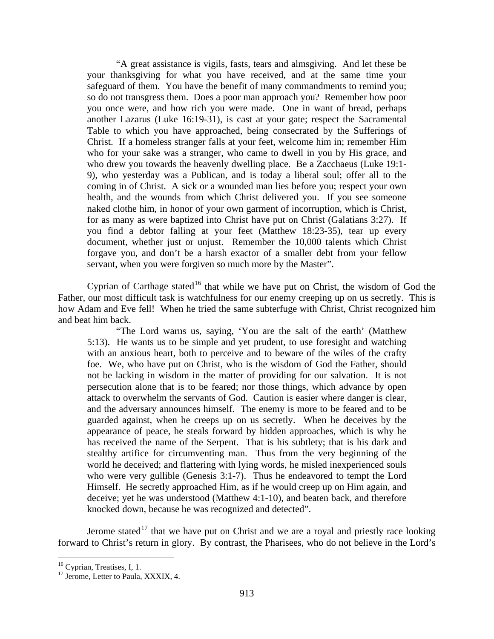"A great assistance is vigils, fasts, tears and almsgiving. And let these be your thanksgiving for what you have received, and at the same time your safeguard of them. You have the benefit of many commandments to remind you; so do not transgress them. Does a poor man approach you? Remember how poor you once were, and how rich you were made. One in want of bread, perhaps another Lazarus (Luke 16:19-31), is cast at your gate; respect the Sacramental Table to which you have approached, being consecrated by the Sufferings of Christ. If a homeless stranger falls at your feet, welcome him in; remember Him who for your sake was a stranger, who came to dwell in you by His grace, and who drew you towards the heavenly dwelling place. Be a Zacchaeus (Luke 19:1- 9), who yesterday was a Publican, and is today a liberal soul; offer all to the coming in of Christ. A sick or a wounded man lies before you; respect your own health, and the wounds from which Christ delivered you. If you see someone naked clothe him, in honor of your own garment of incorruption, which is Christ, for as many as were baptized into Christ have put on Christ (Galatians 3:27). If you find a debtor falling at your feet (Matthew 18:23-35), tear up every document, whether just or unjust. Remember the 10,000 talents which Christ forgave you, and don't be a harsh exactor of a smaller debt from your fellow servant, when you were forgiven so much more by the Master".

Cyprian of Carthage stated<sup>[16](#page-9-0)</sup> that while we have put on Christ, the wisdom of God the Father, our most difficult task is watchfulness for our enemy creeping up on us secretly. This is how Adam and Eve fell! When he tried the same subterfuge with Christ, Christ recognized him and beat him back.

"The Lord warns us, saying, 'You are the salt of the earth' (Matthew 5:13). He wants us to be simple and yet prudent, to use foresight and watching with an anxious heart, both to perceive and to beware of the wiles of the crafty foe. We, who have put on Christ, who is the wisdom of God the Father, should not be lacking in wisdom in the matter of providing for our salvation. It is not persecution alone that is to be feared; nor those things, which advance by open attack to overwhelm the servants of God. Caution is easier where danger is clear, and the adversary announces himself. The enemy is more to be feared and to be guarded against, when he creeps up on us secretly. When he deceives by the appearance of peace, he steals forward by hidden approaches, which is why he has received the name of the Serpent. That is his subtlety; that is his dark and stealthy artifice for circumventing man. Thus from the very beginning of the world he deceived; and flattering with lying words, he misled inexperienced souls who were very gullible (Genesis 3:1-7). Thus he endeavored to tempt the Lord Himself. He secretly approached Him, as if he would creep up on Him again, and deceive; yet he was understood (Matthew 4:1-10), and beaten back, and therefore knocked down, because he was recognized and detected".

Jerome stated<sup>[17](#page-9-1)</sup> that we have put on Christ and we are a royal and priestly race looking forward to Christ's return in glory. By contrast, the Pharisees, who do not believe in the Lord's

<span id="page-9-1"></span>

<span id="page-9-0"></span><sup>&</sup>lt;sup>16</sup> Cyprian, <u>Treatises</u>, I, 1.<br><sup>17</sup> Jerome, <u>Letter to Paula</u>, XXXIX, 4.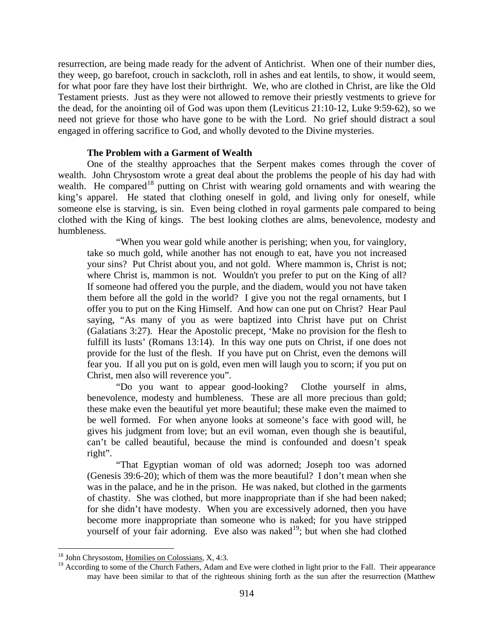resurrection, are being made ready for the advent of Antichrist. When one of their number dies, they weep, go barefoot, crouch in sackcloth, roll in ashes and eat lentils, to show, it would seem, for what poor fare they have lost their birthright. We, who are clothed in Christ, are like the Old Testament priests. Just as they were not allowed to remove their priestly vestments to grieve for the dead, for the anointing oil of God was upon them (Leviticus 21:10-12, Luke 9:59-62), so we need not grieve for those who have gone to be with the Lord. No grief should distract a soul engaged in offering sacrifice to God, and wholly devoted to the Divine mysteries.

#### **The Problem with a Garment of Wealth**

One of the stealthy approaches that the Serpent makes comes through the cover of wealth. John Chrysostom wrote a great deal about the problems the people of his day had with wealth. He compared<sup>[18](#page-10-0)</sup> putting on Christ with wearing gold ornaments and with wearing the king's apparel. He stated that clothing oneself in gold, and living only for oneself, while someone else is starving, is sin. Even being clothed in royal garments pale compared to being clothed with the King of kings. The best looking clothes are alms, benevolence, modesty and humbleness.

"When you wear gold while another is perishing; when you, for vainglory, take so much gold, while another has not enough to eat, have you not increased your sins? Put Christ about you, and not gold. Where mammon is, Christ is not; where Christ is, mammon is not. Wouldn't you prefer to put on the King of all? If someone had offered you the purple, and the diadem, would you not have taken them before all the gold in the world? I give you not the regal ornaments, but I offer you to put on the King Himself. And how can one put on Christ? Hear Paul saying, "As many of you as were baptized into Christ have put on Christ (Galatians 3:27). Hear the Apostolic precept, 'Make no provision for the flesh to fulfill its lusts' (Romans 13:14). In this way one puts on Christ, if one does not provide for the lust of the flesh. If you have put on Christ, even the demons will fear you. If all you put on is gold, even men will laugh you to scorn; if you put on Christ, men also will reverence you".

"Do you want to appear good-looking? Clothe yourself in alms, benevolence, modesty and humbleness. These are all more precious than gold; these make even the beautiful yet more beautiful; these make even the maimed to be well formed. For when anyone looks at someone's face with good will, he gives his judgment from love; but an evil woman, even though she is beautiful, can't be called beautiful, because the mind is confounded and doesn't speak right".

"That Egyptian woman of old was adorned; Joseph too was adorned (Genesis 39:6-20); which of them was the more beautiful? I don't mean when she was in the palace, and he in the prison. He was naked, but clothed in the garments of chastity. She was clothed, but more inappropriate than if she had been naked; for she didn't have modesty. When you are excessively adorned, then you have become more inappropriate than someone who is naked; for you have stripped yourself of your fair adorning. Eve also was naked<sup>19</sup>; but when she had clothed

<span id="page-10-0"></span> <sup>18</sup> John Chrysostom, Homilies on Colossians, X, 4:3.

<span id="page-10-1"></span><sup>&</sup>lt;sup>19</sup> According to some of the Church Fathers, Adam and Eve were clothed in light prior to the Fall. Their appearance may have been similar to that of the righteous shining forth as the sun after the resurrection (Matthew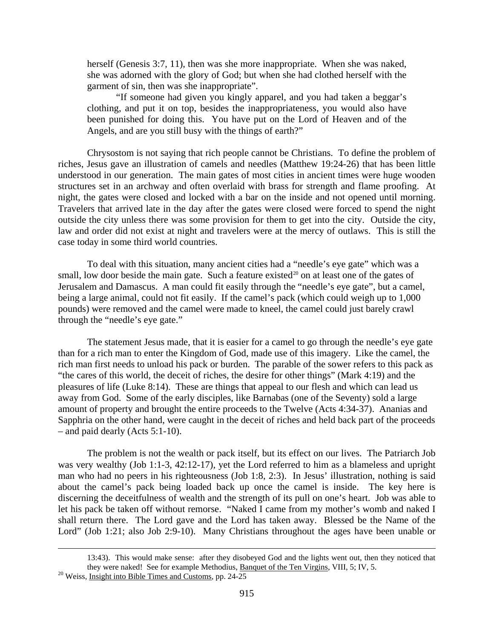herself (Genesis 3:7, 11), then was she more inappropriate. When she was naked, she was adorned with the glory of God; but when she had clothed herself with the garment of sin, then was she inappropriate".

"If someone had given you kingly apparel, and you had taken a beggar's clothing, and put it on top, besides the inappropriateness, you would also have been punished for doing this. You have put on the Lord of Heaven and of the Angels, and are you still busy with the things of earth?"

Chrysostom is not saying that rich people cannot be Christians. To define the problem of riches, Jesus gave an illustration of camels and needles (Matthew 19:24-26) that has been little understood in our generation. The main gates of most cities in ancient times were huge wooden structures set in an archway and often overlaid with brass for strength and flame proofing. At night, the gates were closed and locked with a bar on the inside and not opened until morning. Travelers that arrived late in the day after the gates were closed were forced to spend the night outside the city unless there was some provision for them to get into the city. Outside the city, law and order did not exist at night and travelers were at the mercy of outlaws. This is still the case today in some third world countries.

To deal with this situation, many ancient cities had a "needle's eye gate" which was a small, low door beside the main gate. Such a feature existed<sup>[20](#page-11-0)</sup> on at least one of the gates of Jerusalem and Damascus. A man could fit easily through the "needle's eye gate", but a camel, being a large animal, could not fit easily. If the camel's pack (which could weigh up to 1,000 pounds) were removed and the camel were made to kneel, the camel could just barely crawl through the "needle's eye gate."

The statement Jesus made, that it is easier for a camel to go through the needle's eye gate than for a rich man to enter the Kingdom of God, made use of this imagery. Like the camel, the rich man first needs to unload his pack or burden. The parable of the sower refers to this pack as "the cares of this world, the deceit of riches, the desire for other things" (Mark 4:19) and the pleasures of life (Luke 8:14). These are things that appeal to our flesh and which can lead us away from God. Some of the early disciples, like Barnabas (one of the Seventy) sold a large amount of property and brought the entire proceeds to the Twelve (Acts 4:34-37). Ananias and Sapphria on the other hand, were caught in the deceit of riches and held back part of the proceeds – and paid dearly (Acts 5:1-10).

The problem is not the wealth or pack itself, but its effect on our lives. The Patriarch Job was very wealthy (Job 1:1-3, 42:12-17), yet the Lord referred to him as a blameless and upright man who had no peers in his righteousness (Job 1:8, 2:3). In Jesus' illustration, nothing is said about the camel's pack being loaded back up once the camel is inside. The key here is discerning the deceitfulness of wealth and the strength of its pull on one's heart. Job was able to let his pack be taken off without remorse. "Naked I came from my mother's womb and naked I shall return there. The Lord gave and the Lord has taken away. Blessed be the Name of the Lord" (Job 1:21; also Job 2:9-10). Many Christians throughout the ages have been unable or

 <sup>13:43).</sup> This would make sense: after they disobeyed God and the lights went out, then they noticed that they were naked! See for example Methodius, <u>Banquet of the Ten Virgins</u>, VIII, 5; IV, 5. <sup>20</sup> Weiss, Insight into Bible Times and Customs, pp. 24-25

<span id="page-11-0"></span>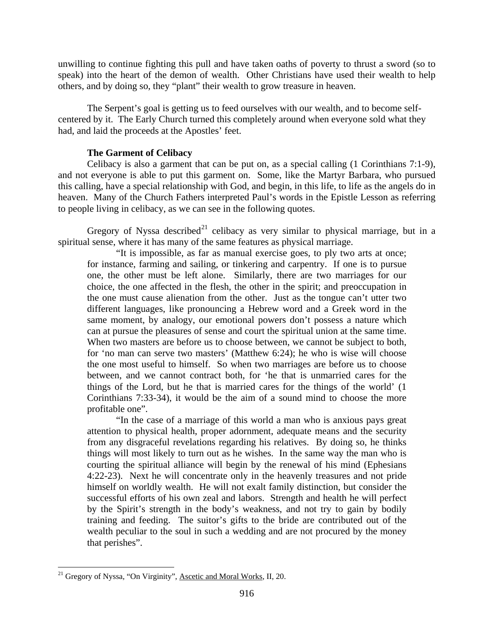unwilling to continue fighting this pull and have taken oaths of poverty to thrust a sword (so to speak) into the heart of the demon of wealth. Other Christians have used their wealth to help others, and by doing so, they "plant" their wealth to grow treasure in heaven.

The Serpent's goal is getting us to feed ourselves with our wealth, and to become selfcentered by it. The Early Church turned this completely around when everyone sold what they had, and laid the proceeds at the Apostles' feet.

## **The Garment of Celibacy**

Celibacy is also a garment that can be put on, as a special calling (1 Corinthians 7:1-9), and not everyone is able to put this garment on. Some, like the Martyr Barbara, who pursued this calling, have a special relationship with God, and begin, in this life, to life as the angels do in heaven. Many of the Church Fathers interpreted Paul's words in the Epistle Lesson as referring to people living in celibacy, as we can see in the following quotes.

Gregory of Nyssa described<sup>[21](#page-12-0)</sup> celibacy as very similar to physical marriage, but in a spiritual sense, where it has many of the same features as physical marriage.

"It is impossible, as far as manual exercise goes, to ply two arts at once; for instance, farming and sailing, or tinkering and carpentry. If one is to pursue one, the other must be left alone. Similarly, there are two marriages for our choice, the one affected in the flesh, the other in the spirit; and preoccupation in the one must cause alienation from the other. Just as the tongue can't utter two different languages, like pronouncing a Hebrew word and a Greek word in the same moment, by analogy, our emotional powers don't possess a nature which can at pursue the pleasures of sense and court the spiritual union at the same time. When two masters are before us to choose between, we cannot be subject to both, for 'no man can serve two masters' (Matthew 6:24); he who is wise will choose the one most useful to himself. So when two marriages are before us to choose between, and we cannot contract both, for 'he that is unmarried cares for the things of the Lord, but he that is married cares for the things of the world' (1 Corinthians 7:33-34), it would be the aim of a sound mind to choose the more profitable one".

"In the case of a marriage of this world a man who is anxious pays great attention to physical health, proper adornment, adequate means and the security from any disgraceful revelations regarding his relatives. By doing so, he thinks things will most likely to turn out as he wishes. In the same way the man who is courting the spiritual alliance will begin by the renewal of his mind (Ephesians 4:22-23). Next he will concentrate only in the heavenly treasures and not pride himself on worldly wealth. He will not exalt family distinction, but consider the successful efforts of his own zeal and labors. Strength and health he will perfect by the Spirit's strength in the body's weakness, and not try to gain by bodily training and feeding. The suitor's gifts to the bride are contributed out of the wealth peculiar to the soul in such a wedding and are not procured by the money that perishes".

<span id="page-12-0"></span><sup>&</sup>lt;sup>21</sup> Gregory of Nyssa, "On Virginity", Ascetic and Moral Works, II, 20.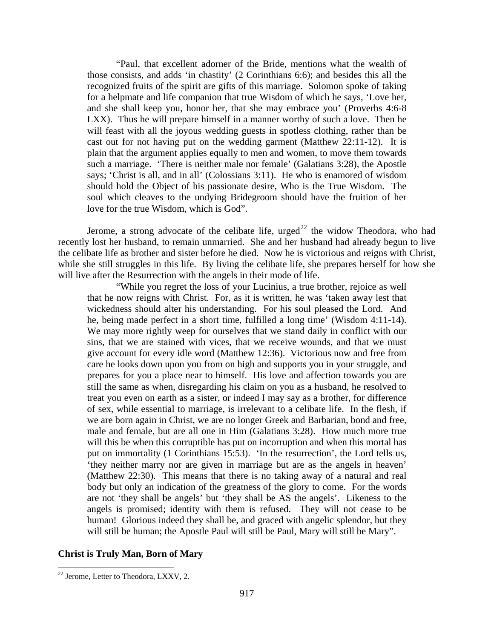"Paul, that excellent adorner of the Bride, mentions what the wealth of those consists, and adds 'in chastity' (2 Corinthians 6:6); and besides this all the recognized fruits of the spirit are gifts of this marriage. Solomon spoke of taking for a helpmate and life companion that true Wisdom of which he says, 'Love her, and she shall keep you, honor her, that she may embrace you' (Proverbs 4:6-8 LXX). Thus he will prepare himself in a manner worthy of such a love. Then he will feast with all the joyous wedding guests in spotless clothing, rather than be cast out for not having put on the wedding garment (Matthew 22:11-12). It is plain that the argument applies equally to men and women, to move them towards such a marriage. 'There is neither male nor female' (Galatians 3:28), the Apostle says; 'Christ is all, and in all' (Colossians 3:11). He who is enamored of wisdom should hold the Object of his passionate desire, Who is the True Wisdom. The soul which cleaves to the undying Bridegroom should have the fruition of her love for the true Wisdom, which is God".

Jerome, a strong advocate of the celibate life, urged<sup>[22](#page-13-0)</sup> the widow Theodora, who had recently lost her husband, to remain unmarried. She and her husband had already begun to live the celibate life as brother and sister before he died. Now he is victorious and reigns with Christ, while she still struggles in this life. By living the celibate life, she prepares herself for how she will live after the Resurrection with the angels in their mode of life.

"While you regret the loss of your Lucinius, a true brother, rejoice as well that he now reigns with Christ. For, as it is written, he was 'taken away lest that wickedness should alter his understanding. For his soul pleased the Lord. And he, being made perfect in a short time, fulfilled a long time' (Wisdom 4:11-14). We may more rightly weep for ourselves that we stand daily in conflict with our sins, that we are stained with vices, that we receive wounds, and that we must give account for every idle word (Matthew 12:36). Victorious now and free from care he looks down upon you from on high and supports you in your struggle, and prepares for you a place near to himself. His love and affection towards you are still the same as when, disregarding his claim on you as a husband, he resolved to treat you even on earth as a sister, or indeed I may say as a brother, for difference of sex, while essential to marriage, is irrelevant to a celibate life. In the flesh, if we are born again in Christ, we are no longer Greek and Barbarian, bond and free, male and female, but are all one in Him (Galatians 3:28). How much more true will this be when this corruptible has put on incorruption and when this mortal has put on immortality (1 Corinthians 15:53). 'In the resurrection', the Lord tells us, 'they neither marry nor are given in marriage but are as the angels in heaven' (Matthew 22:30). This means that there is no taking away of a natural and real body but only an indication of the greatness of the glory to come. For the words are not 'they shall be angels' but 'they shall be AS the angels'. Likeness to the angels is promised; identity with them is refused. They will not cease to be human! Glorious indeed they shall be, and graced with angelic splendor, but they will still be human; the Apostle Paul will still be Paul, Mary will still be Mary".

### **Christ is Truly Man, Born of Mary**

<span id="page-13-0"></span> <sup>22</sup> Jerome, Letter to Theodora, LXXV, 2.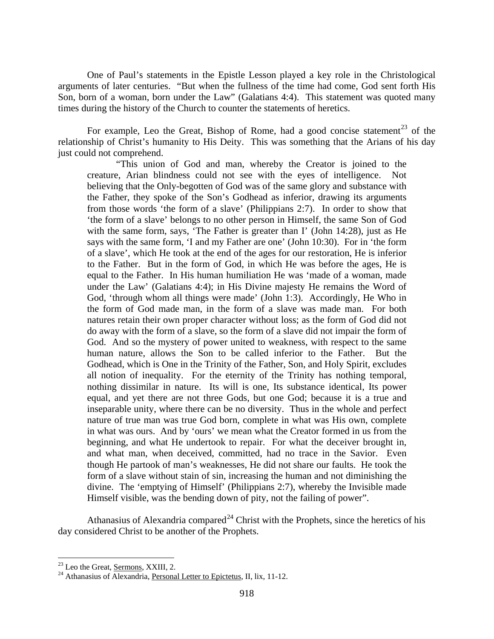One of Paul's statements in the Epistle Lesson played a key role in the Christological arguments of later centuries. "But when the fullness of the time had come, God sent forth His Son, born of a woman, born under the Law" (Galatians 4:4). This statement was quoted many times during the history of the Church to counter the statements of heretics.

For example, Leo the Great, Bishop of Rome, had a good concise statement<sup>[23](#page-14-0)</sup> of the relationship of Christ's humanity to His Deity. This was something that the Arians of his day just could not comprehend.

"This union of God and man, whereby the Creator is joined to the creature, Arian blindness could not see with the eyes of intelligence. Not believing that the Only-begotten of God was of the same glory and substance with the Father, they spoke of the Son's Godhead as inferior, drawing its arguments from those words 'the form of a slave' (Philippians 2:7). In order to show that 'the form of a slave' belongs to no other person in Himself, the same Son of God with the same form, says, 'The Father is greater than I' (John 14:28), just as He says with the same form, 'I and my Father are one' (John 10:30). For in 'the form of a slave', which He took at the end of the ages for our restoration, He is inferior to the Father. But in the form of God, in which He was before the ages, He is equal to the Father. In His human humiliation He was 'made of a woman, made under the Law' (Galatians 4:4); in His Divine majesty He remains the Word of God, 'through whom all things were made' (John 1:3). Accordingly, He Who in the form of God made man, in the form of a slave was made man. For both natures retain their own proper character without loss; as the form of God did not do away with the form of a slave, so the form of a slave did not impair the form of God. And so the mystery of power united to weakness, with respect to the same human nature, allows the Son to be called inferior to the Father. But the Godhead, which is One in the Trinity of the Father, Son, and Holy Spirit, excludes all notion of inequality. For the eternity of the Trinity has nothing temporal, nothing dissimilar in nature. Its will is one, Its substance identical, Its power equal, and yet there are not three Gods, but one God; because it is a true and inseparable unity, where there can be no diversity. Thus in the whole and perfect nature of true man was true God born, complete in what was His own, complete in what was ours. And by 'ours' we mean what the Creator formed in us from the beginning, and what He undertook to repair. For what the deceiver brought in, and what man, when deceived, committed, had no trace in the Savior. Even though He partook of man's weaknesses, He did not share our faults. He took the form of a slave without stain of sin, increasing the human and not diminishing the divine. The 'emptying of Himself' (Philippians 2:7), whereby the Invisible made Himself visible, was the bending down of pity, not the failing of power".

Athanasius of Alexandria compared<sup> $24$ </sup> Christ with the Prophets, since the heretics of his day considered Christ to be another of the Prophets.

<span id="page-14-1"></span><span id="page-14-0"></span><sup>&</sup>lt;sup>23</sup> Leo the Great, <u>Sermons</u>, XXIII, 2.<br><sup>24</sup> Athanasius of Alexandria, Personal Letter to Epictetus, II, lix, 11-12.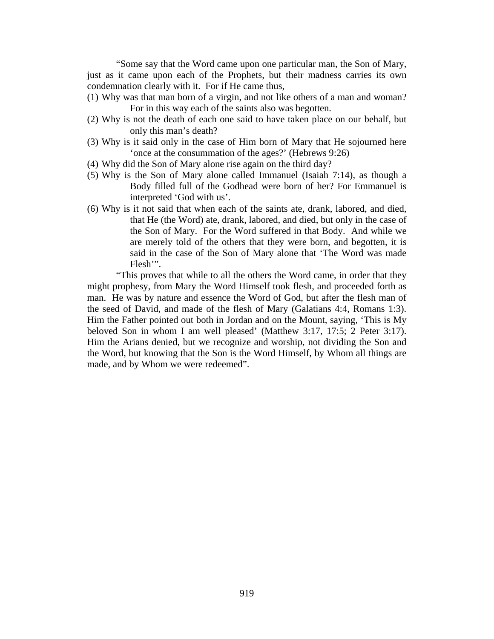"Some say that the Word came upon one particular man, the Son of Mary, just as it came upon each of the Prophets, but their madness carries its own condemnation clearly with it. For if He came thus,

- (1) Why was that man born of a virgin, and not like others of a man and woman? For in this way each of the saints also was begotten.
- (2) Why is not the death of each one said to have taken place on our behalf, but only this man's death?
- (3) Why is it said only in the case of Him born of Mary that He sojourned here 'once at the consummation of the ages?' (Hebrews 9:26)
- (4) Why did the Son of Mary alone rise again on the third day?
- (5) Why is the Son of Mary alone called Immanuel (Isaiah 7:14), as though a Body filled full of the Godhead were born of her? For Emmanuel is interpreted 'God with us'.
- (6) Why is it not said that when each of the saints ate, drank, labored, and died, that He (the Word) ate, drank, labored, and died, but only in the case of the Son of Mary. For the Word suffered in that Body. And while we are merely told of the others that they were born, and begotten, it is said in the case of the Son of Mary alone that 'The Word was made Flesh'".

"This proves that while to all the others the Word came, in order that they might prophesy, from Mary the Word Himself took flesh, and proceeded forth as man. He was by nature and essence the Word of God, but after the flesh man of the seed of David, and made of the flesh of Mary (Galatians 4:4, Romans 1:3). Him the Father pointed out both in Jordan and on the Mount, saying, 'This is My beloved Son in whom I am well pleased' (Matthew 3:17, 17:5; 2 Peter 3:17). Him the Arians denied, but we recognize and worship, not dividing the Son and the Word, but knowing that the Son is the Word Himself, by Whom all things are made, and by Whom we were redeemed".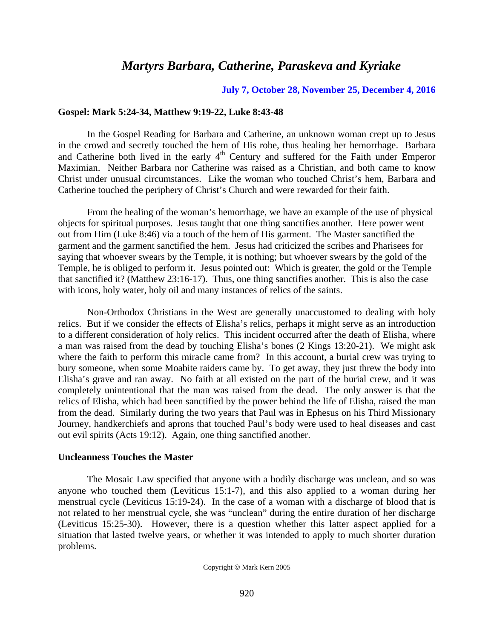## *Martyrs Barbara, Catherine, Paraskeva and Kyriake*

#### **July 7, October 28, November 25, December 4, 2016**

#### **Gospel: Mark 5:24-34, Matthew 9:19-22, Luke 8:43-48**

In the Gospel Reading for Barbara and Catherine, an unknown woman crept up to Jesus in the crowd and secretly touched the hem of His robe, thus healing her hemorrhage. Barbara and Catherine both lived in the early  $4<sup>th</sup>$  Century and suffered for the Faith under Emperor Maximian. Neither Barbara nor Catherine was raised as a Christian, and both came to know Christ under unusual circumstances. Like the woman who touched Christ's hem, Barbara and Catherine touched the periphery of Christ's Church and were rewarded for their faith.

From the healing of the woman's hemorrhage, we have an example of the use of physical objects for spiritual purposes. Jesus taught that one thing sanctifies another. Here power went out from Him (Luke 8:46) via a touch of the hem of His garment. The Master sanctified the garment and the garment sanctified the hem. Jesus had criticized the scribes and Pharisees for saying that whoever swears by the Temple, it is nothing; but whoever swears by the gold of the Temple, he is obliged to perform it. Jesus pointed out: Which is greater, the gold or the Temple that sanctified it? (Matthew 23:16-17). Thus, one thing sanctifies another. This is also the case with icons, holy water, holy oil and many instances of relics of the saints.

Non-Orthodox Christians in the West are generally unaccustomed to dealing with holy relics. But if we consider the effects of Elisha's relics, perhaps it might serve as an introduction to a different consideration of holy relics. This incident occurred after the death of Elisha, where a man was raised from the dead by touching Elisha's bones (2 Kings 13:20-21). We might ask where the faith to perform this miracle came from? In this account, a burial crew was trying to bury someone, when some Moabite raiders came by. To get away, they just threw the body into Elisha's grave and ran away. No faith at all existed on the part of the burial crew, and it was completely unintentional that the man was raised from the dead. The only answer is that the relics of Elisha, which had been sanctified by the power behind the life of Elisha, raised the man from the dead. Similarly during the two years that Paul was in Ephesus on his Third Missionary Journey, handkerchiefs and aprons that touched Paul's body were used to heal diseases and cast out evil spirits (Acts 19:12). Again, one thing sanctified another.

## **Uncleanness Touches the Master**

The Mosaic Law specified that anyone with a bodily discharge was unclean, and so was anyone who touched them (Leviticus 15:1-7), and this also applied to a woman during her menstrual cycle (Leviticus 15:19-24). In the case of a woman with a discharge of blood that is not related to her menstrual cycle, she was "unclean" during the entire duration of her discharge (Leviticus 15:25-30). However, there is a question whether this latter aspect applied for a situation that lasted twelve years, or whether it was intended to apply to much shorter duration problems.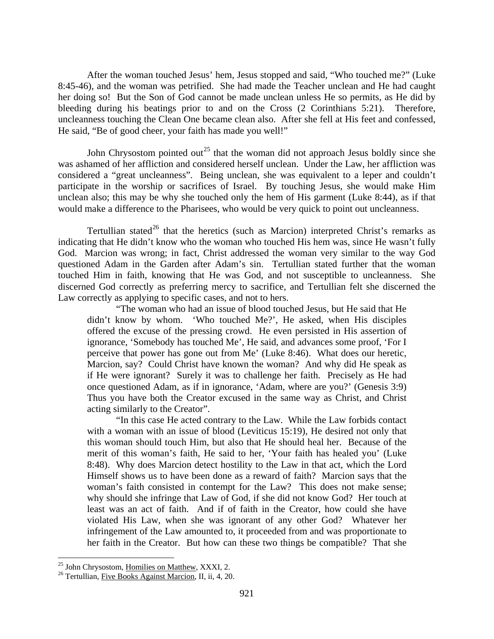After the woman touched Jesus' hem, Jesus stopped and said, "Who touched me?" (Luke 8:45-46), and the woman was petrified. She had made the Teacher unclean and He had caught her doing so! But the Son of God cannot be made unclean unless He so permits, as He did by bleeding during his beatings prior to and on the Cross (2 Corinthians 5:21). Therefore, uncleanness touching the Clean One became clean also. After she fell at His feet and confessed, He said, "Be of good cheer, your faith has made you well!"

John Chrysostom pointed out<sup>[25](#page-17-0)</sup> that the woman did not approach Jesus boldly since she was ashamed of her affliction and considered herself unclean. Under the Law, her affliction was considered a "great uncleanness". Being unclean, she was equivalent to a leper and couldn't participate in the worship or sacrifices of Israel. By touching Jesus, she would make Him unclean also; this may be why she touched only the hem of His garment (Luke 8:44), as if that would make a difference to the Pharisees, who would be very quick to point out uncleanness.

Tertullian stated<sup>[26](#page-17-1)</sup> that the heretics (such as Marcion) interpreted Christ's remarks as indicating that He didn't know who the woman who touched His hem was, since He wasn't fully God. Marcion was wrong; in fact, Christ addressed the woman very similar to the way God questioned Adam in the Garden after Adam's sin. Tertullian stated further that the woman touched Him in faith, knowing that He was God, and not susceptible to uncleanness. She discerned God correctly as preferring mercy to sacrifice, and Tertullian felt she discerned the Law correctly as applying to specific cases, and not to hers.

"The woman who had an issue of blood touched Jesus, but He said that He didn't know by whom. 'Who touched Me?', He asked, when His disciples offered the excuse of the pressing crowd. He even persisted in His assertion of ignorance, 'Somebody has touched Me', He said, and advances some proof, 'For I perceive that power has gone out from Me' (Luke 8:46). What does our heretic, Marcion, say? Could Christ have known the woman? And why did He speak as if He were ignorant? Surely it was to challenge her faith. Precisely as He had once questioned Adam, as if in ignorance, 'Adam, where are you?' (Genesis 3:9) Thus you have both the Creator excused in the same way as Christ, and Christ acting similarly to the Creator".

"In this case He acted contrary to the Law. While the Law forbids contact with a woman with an issue of blood (Leviticus 15:19), He desired not only that this woman should touch Him, but also that He should heal her. Because of the merit of this woman's faith, He said to her, 'Your faith has healed you' (Luke 8:48). Why does Marcion detect hostility to the Law in that act, which the Lord Himself shows us to have been done as a reward of faith? Marcion says that the woman's faith consisted in contempt for the Law? This does not make sense; why should she infringe that Law of God, if she did not know God? Her touch at least was an act of faith. And if of faith in the Creator, how could she have violated His Law, when she was ignorant of any other God? Whatever her infringement of the Law amounted to, it proceeded from and was proportionate to her faith in the Creator. But how can these two things be compatible? That she

<span id="page-17-1"></span><span id="page-17-0"></span><sup>&</sup>lt;sup>25</sup> John Chrysostom, <u>Homilies on Matthew</u>, XXXI, 2.<br><sup>26</sup> Tertullian, <u>Five Books Against Marcion</u>, II, ii, 4, 20.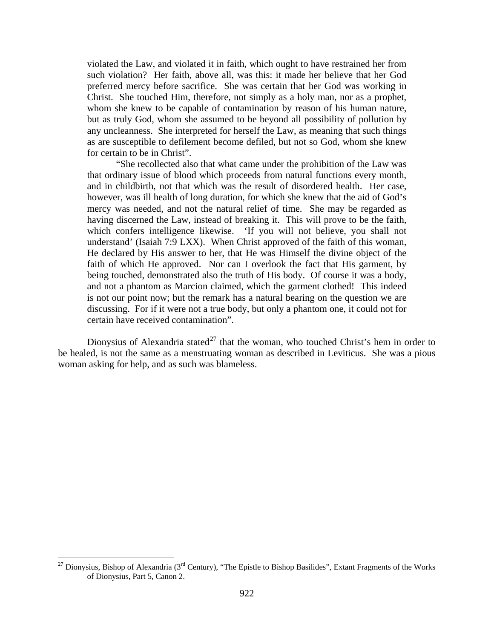violated the Law, and violated it in faith, which ought to have restrained her from such violation? Her faith, above all, was this: it made her believe that her God preferred mercy before sacrifice. She was certain that her God was working in Christ. She touched Him, therefore, not simply as a holy man, nor as a prophet, whom she knew to be capable of contamination by reason of his human nature, but as truly God, whom she assumed to be beyond all possibility of pollution by any uncleanness. She interpreted for herself the Law, as meaning that such things as are susceptible to defilement become defiled, but not so God, whom she knew for certain to be in Christ".

"She recollected also that what came under the prohibition of the Law was that ordinary issue of blood which proceeds from natural functions every month, and in childbirth, not that which was the result of disordered health. Her case, however, was ill health of long duration, for which she knew that the aid of God's mercy was needed, and not the natural relief of time. She may be regarded as having discerned the Law, instead of breaking it. This will prove to be the faith, which confers intelligence likewise. 'If you will not believe, you shall not understand' (Isaiah 7:9 LXX). When Christ approved of the faith of this woman, He declared by His answer to her, that He was Himself the divine object of the faith of which He approved. Nor can I overlook the fact that His garment, by being touched, demonstrated also the truth of His body. Of course it was a body, and not a phantom as Marcion claimed, which the garment clothed! This indeed is not our point now; but the remark has a natural bearing on the question we are discussing. For if it were not a true body, but only a phantom one, it could not for certain have received contamination".

Dionysius of Alexandria stated<sup>[27](#page-18-0)</sup> that the woman, who touched Christ's hem in order to be healed, is not the same as a menstruating woman as described in Leviticus. She was a pious woman asking for help, and as such was blameless.

<span id="page-18-0"></span><sup>&</sup>lt;sup>27</sup> Dionysius, Bishop of Alexandria (3<sup>rd</sup> Century), "The Epistle to Bishop Basilides", Extant Fragments of the Works of Dionysius, Part 5, Canon 2.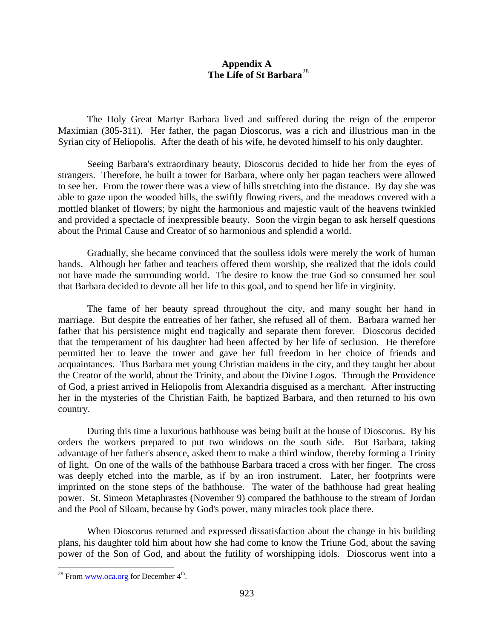## **Appendix A The Life of St Barbara**[28](#page-19-0)

The Holy Great Martyr Barbara lived and suffered during the reign of the emperor Maximian (305-311). Her father, the pagan Dioscorus, was a rich and illustrious man in the Syrian city of Heliopolis. After the death of his wife, he devoted himself to his only daughter.

Seeing Barbara's extraordinary beauty, Dioscorus decided to hide her from the eyes of strangers. Therefore, he built a tower for Barbara, where only her pagan teachers were allowed to see her. From the tower there was a view of hills stretching into the distance. By day she was able to gaze upon the wooded hills, the swiftly flowing rivers, and the meadows covered with a mottled blanket of flowers; by night the harmonious and majestic vault of the heavens twinkled and provided a spectacle of inexpressible beauty. Soon the virgin began to ask herself questions about the Primal Cause and Creator of so harmonious and splendid a world.

Gradually, she became convinced that the soulless idols were merely the work of human hands. Although her father and teachers offered them worship, she realized that the idols could not have made the surrounding world. The desire to know the true God so consumed her soul that Barbara decided to devote all her life to this goal, and to spend her life in virginity.

The fame of her beauty spread throughout the city, and many sought her hand in marriage. But despite the entreaties of her father, she refused all of them. Barbara warned her father that his persistence might end tragically and separate them forever. Dioscorus decided that the temperament of his daughter had been affected by her life of seclusion. He therefore permitted her to leave the tower and gave her full freedom in her choice of friends and acquaintances. Thus Barbara met young Christian maidens in the city, and they taught her about the Creator of the world, about the Trinity, and about the Divine Logos. Through the Providence of God, a priest arrived in Heliopolis from Alexandria disguised as a merchant. After instructing her in the mysteries of the Christian Faith, he baptized Barbara, and then returned to his own country.

During this time a luxurious bathhouse was being built at the house of Dioscorus. By his orders the workers prepared to put two windows on the south side. But Barbara, taking advantage of her father's absence, asked them to make a third window, thereby forming a Trinity of light. On one of the walls of the bathhouse Barbara traced a cross with her finger. The cross was deeply etched into the marble, as if by an iron instrument. Later, her footprints were imprinted on the stone steps of the bathhouse. The water of the bathhouse had great healing power. St. Simeon Metaphrastes (November 9) compared the bathhouse to the stream of Jordan and the Pool of Siloam, because by God's power, many miracles took place there.

When Dioscorus returned and expressed dissatisfaction about the change in his building plans, his daughter told him about how she had come to know the Triune God, about the saving power of the Son of God, and about the futility of worshipping idols. Dioscorus went into a

<span id="page-19-0"></span> $^{28}$  From [www.oca.org](http://www.oca.org/) for December  $4<sup>th</sup>$ .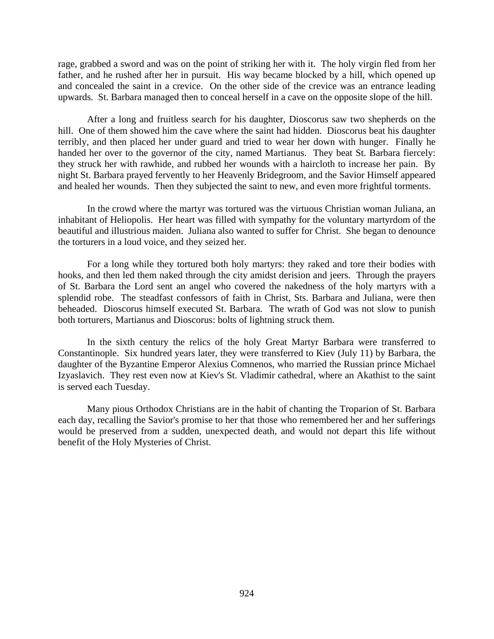rage, grabbed a sword and was on the point of striking her with it. The holy virgin fled from her father, and he rushed after her in pursuit. His way became blocked by a hill, which opened up and concealed the saint in a crevice. On the other side of the crevice was an entrance leading upwards. St. Barbara managed then to conceal herself in a cave on the opposite slope of the hill.

After a long and fruitless search for his daughter, Dioscorus saw two shepherds on the hill. One of them showed him the cave where the saint had hidden. Dioscorus beat his daughter terribly, and then placed her under guard and tried to wear her down with hunger. Finally he handed her over to the governor of the city, named Martianus. They beat St. Barbara fiercely: they struck her with rawhide, and rubbed her wounds with a haircloth to increase her pain. By night St. Barbara prayed fervently to her Heavenly Bridegroom, and the Savior Himself appeared and healed her wounds. Then they subjected the saint to new, and even more frightful torments.

In the crowd where the martyr was tortured was the virtuous Christian woman Juliana, an inhabitant of Heliopolis. Her heart was filled with sympathy for the voluntary martyrdom of the beautiful and illustrious maiden. Juliana also wanted to suffer for Christ. She began to denounce the torturers in a loud voice, and they seized her.

For a long while they tortured both holy martyrs: they raked and tore their bodies with hooks, and then led them naked through the city amidst derision and jeers. Through the prayers of St. Barbara the Lord sent an angel who covered the nakedness of the holy martyrs with a splendid robe. The steadfast confessors of faith in Christ, Sts. Barbara and Juliana, were then beheaded. Dioscorus himself executed St. Barbara. The wrath of God was not slow to punish both torturers, Martianus and Dioscorus: bolts of lightning struck them.

In the sixth century the relics of the holy Great Martyr Barbara were transferred to Constantinople. Six hundred years later, they were transferred to Kiev (July 11) by Barbara, the daughter of the Byzantine Emperor Alexius Comnenos, who married the Russian prince Michael Izyaslavich. They rest even now at Kiev's St. Vladimir cathedral, where an Akathist to the saint is served each Tuesday.

Many pious Orthodox Christians are in the habit of chanting the Troparion of St. Barbara each day, recalling the Savior's promise to her that those who remembered her and her sufferings would be preserved from a sudden, unexpected death, and would not depart this life without benefit of the Holy Mysteries of Christ.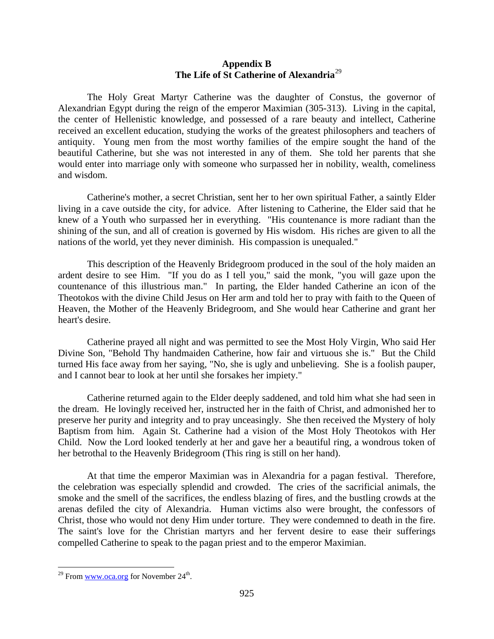## **Appendix B The Life of St Catherine of Alexandria**[29](#page-21-0)

The Holy Great Martyr Catherine was the daughter of Constus, the governor of Alexandrian Egypt during the reign of the emperor Maximian (305-313). Living in the capital, the center of Hellenistic knowledge, and possessed of a rare beauty and intellect, Catherine received an excellent education, studying the works of the greatest philosophers and teachers of antiquity. Young men from the most worthy families of the empire sought the hand of the beautiful Catherine, but she was not interested in any of them. She told her parents that she would enter into marriage only with someone who surpassed her in nobility, wealth, comeliness and wisdom.

Catherine's mother, a secret Christian, sent her to her own spiritual Father, a saintly Elder living in a cave outside the city, for advice. After listening to Catherine, the Elder said that he knew of a Youth who surpassed her in everything. "His countenance is more radiant than the shining of the sun, and all of creation is governed by His wisdom. His riches are given to all the nations of the world, yet they never diminish. His compassion is unequaled."

This description of the Heavenly Bridegroom produced in the soul of the holy maiden an ardent desire to see Him. "If you do as I tell you," said the monk, "you will gaze upon the countenance of this illustrious man." In parting, the Elder handed Catherine an icon of the Theotokos with the divine Child Jesus on Her arm and told her to pray with faith to the Queen of Heaven, the Mother of the Heavenly Bridegroom, and She would hear Catherine and grant her heart's desire.

Catherine prayed all night and was permitted to see the Most Holy Virgin, Who said Her Divine Son, "Behold Thy handmaiden Catherine, how fair and virtuous she is." But the Child turned His face away from her saying, "No, she is ugly and unbelieving. She is a foolish pauper, and I cannot bear to look at her until she forsakes her impiety."

Catherine returned again to the Elder deeply saddened, and told him what she had seen in the dream. He lovingly received her, instructed her in the faith of Christ, and admonished her to preserve her purity and integrity and to pray unceasingly. She then received the Mystery of holy Baptism from him. Again St. Catherine had a vision of the Most Holy Theotokos with Her Child. Now the Lord looked tenderly at her and gave her a beautiful ring, a wondrous token of her betrothal to the Heavenly Bridegroom (This ring is still on her hand).

At that time the emperor Maximian was in Alexandria for a pagan festival. Therefore, the celebration was especially splendid and crowded. The cries of the sacrificial animals, the smoke and the smell of the sacrifices, the endless blazing of fires, and the bustling crowds at the arenas defiled the city of Alexandria. Human victims also were brought, the confessors of Christ, those who would not deny Him under torture. They were condemned to death in the fire. The saint's love for the Christian martyrs and her fervent desire to ease their sufferings compelled Catherine to speak to the pagan priest and to the emperor Maximian.

<span id="page-21-0"></span><sup>&</sup>lt;sup>29</sup> From [www.oca.org](http://www.oca.org/) for November  $24<sup>th</sup>$ .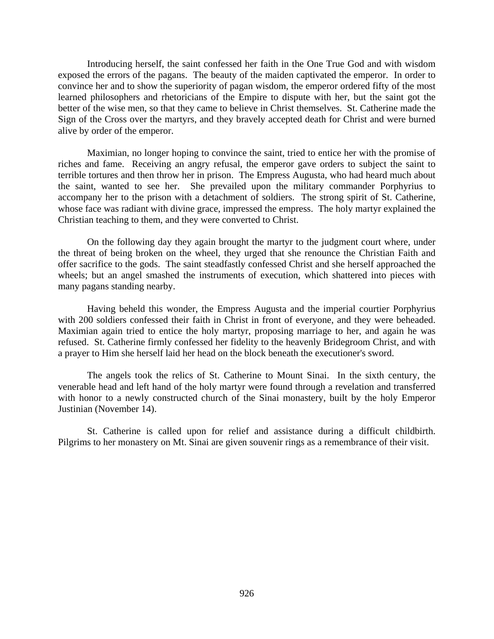Introducing herself, the saint confessed her faith in the One True God and with wisdom exposed the errors of the pagans. The beauty of the maiden captivated the emperor. In order to convince her and to show the superiority of pagan wisdom, the emperor ordered fifty of the most learned philosophers and rhetoricians of the Empire to dispute with her, but the saint got the better of the wise men, so that they came to believe in Christ themselves. St. Catherine made the Sign of the Cross over the martyrs, and they bravely accepted death for Christ and were burned alive by order of the emperor.

Maximian, no longer hoping to convince the saint, tried to entice her with the promise of riches and fame. Receiving an angry refusal, the emperor gave orders to subject the saint to terrible tortures and then throw her in prison. The Empress Augusta, who had heard much about the saint, wanted to see her. She prevailed upon the military commander Porphyrius to accompany her to the prison with a detachment of soldiers. The strong spirit of St. Catherine, whose face was radiant with divine grace, impressed the empress. The holy martyr explained the Christian teaching to them, and they were converted to Christ.

On the following day they again brought the martyr to the judgment court where, under the threat of being broken on the wheel, they urged that she renounce the Christian Faith and offer sacrifice to the gods. The saint steadfastly confessed Christ and she herself approached the wheels; but an angel smashed the instruments of execution, which shattered into pieces with many pagans standing nearby.

Having beheld this wonder, the Empress Augusta and the imperial courtier Porphyrius with 200 soldiers confessed their faith in Christ in front of everyone, and they were beheaded. Maximian again tried to entice the holy martyr, proposing marriage to her, and again he was refused. St. Catherine firmly confessed her fidelity to the heavenly Bridegroom Christ, and with a prayer to Him she herself laid her head on the block beneath the executioner's sword.

The angels took the relics of St. Catherine to Mount Sinai. In the sixth century, the venerable head and left hand of the holy martyr were found through a revelation and transferred with honor to a newly constructed church of the Sinai monastery, built by the holy Emperor Justinian (November 14).

St. Catherine is called upon for relief and assistance during a difficult childbirth. Pilgrims to her monastery on Mt. Sinai are given souvenir rings as a remembrance of their visit.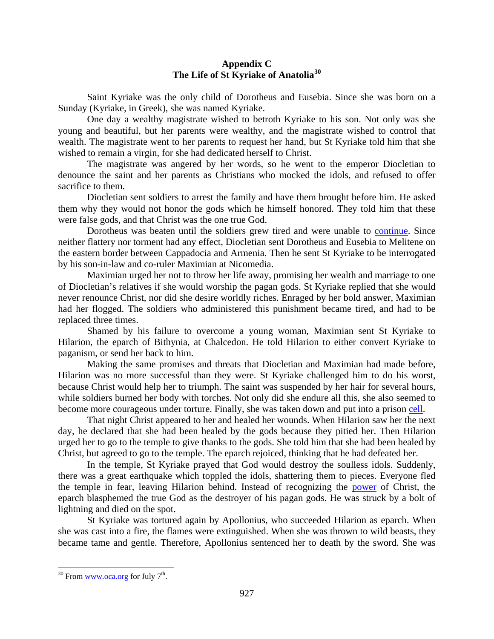## **Appendix C The Life of St Kyriake of Anatolia[30](#page-23-0)**

Saint Kyriake was the only child of Dorotheus and Eusebia. Since she was born on a Sunday (Kyriake, in Greek), she was named Kyriake.

One day a wealthy magistrate wished to betroth Kyriake to his son. Not only was she young and beautiful, but her parents were wealthy, and the magistrate wished to control that wealth. The magistrate went to her parents to request her hand, but St Kyriake told him that she wished to remain a virgin, for she had dedicated herself to Christ.

The magistrate was angered by her words, so he went to the emperor Diocletian to denounce the saint and her parents as Christians who mocked the idols, and refused to offer sacrifice to them.

Diocletian sent soldiers to arrest the family and have them brought before him. He asked them why they would not honor the gods which he himself honored. They told him that these were false gods, and that Christ was the one true God.

Dorotheus was beaten until the soldiers grew tired and were unable to [continue.](http://oca.org/saints/lives/2013/07/07/101963-martyr-kyriake-of-nicomedia) Since neither flattery nor torment had any effect, Diocletian sent Dorotheus and Eusebia to Melitene on the eastern border between Cappadocia and Armenia. Then he sent St Kyriake to be interrogated by his son-in-law and co-ruler Maximian at Nicomedia.

Maximian urged her not to throw her life away, promising her wealth and marriage to one of Diocletian's relatives if she would worship the pagan gods. St Kyriake replied that she would never renounce Christ, nor did she desire worldly riches. Enraged by her bold answer, Maximian had her flogged. The soldiers who administered this punishment became tired, and had to be replaced three times.

Shamed by his failure to overcome a young woman, Maximian sent St Kyriake to Hilarion, the eparch of Bithynia, at Chalcedon. He told Hilarion to either convert Kyriake to paganism, or send her back to him.

Making the same promises and threats that Diocletian and Maximian had made before, Hilarion was no more successful than they were. St Kyriake challenged him to do his worst, because Christ would help her to triumph. The saint was suspended by her hair for several hours, while soldiers burned her body with torches. Not only did she endure all this, she also seemed to become more courageous under torture. Finally, she was taken down and put into a prison [cell.](http://oca.org/saints/lives/2013/07/07/101963-martyr-kyriake-of-nicomedia)

That night Christ appeared to her and healed her wounds. When Hilarion saw her the next day, he declared that she had been healed by the gods because they pitied her. Then Hilarion urged her to go to the temple to give thanks to the gods. She told him that she had been healed by Christ, but agreed to go to the temple. The eparch rejoiced, thinking that he had defeated her.

In the temple, St Kyriake prayed that God would destroy the soulless idols. Suddenly, there was a great earthquake which toppled the idols, shattering them to pieces. Everyone fled the temple in fear, leaving Hilarion behind. Instead of recognizing the [power](http://oca.org/saints/lives/2013/07/07/101963-martyr-kyriake-of-nicomedia) of Christ, the eparch blasphemed the true God as the destroyer of his pagan gods. He was struck by a bolt of lightning and died on the spot.

St Kyriake was tortured again by Apollonius, who succeeded Hilarion as eparch. When she was cast into a fire, the flames were extinguished. When she was thrown to wild beasts, they became tame and gentle. Therefore, Apollonius sentenced her to death by the sword. She was

<span id="page-23-0"></span> $30$  From [www.oca.org](http://www.oca.org/) for July  $7<sup>th</sup>$ .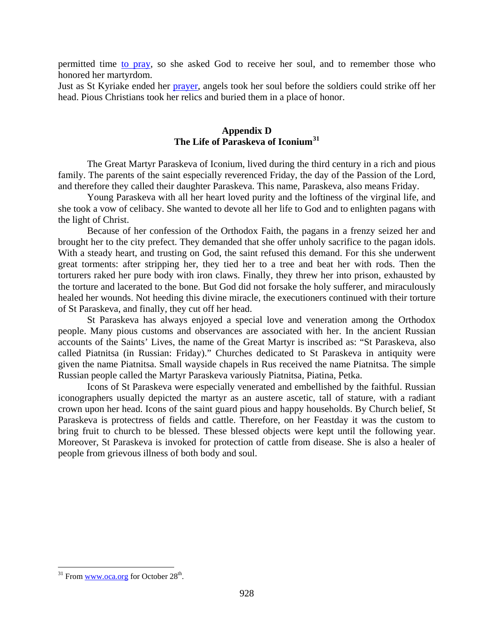permitted time [to pray,](http://oca.org/saints/lives/2013/07/07/101963-martyr-kyriake-of-nicomedia) so she asked God to receive her soul, and to remember those who honored her martyrdom.

Just as St Kyriake ended her [prayer,](http://oca.org/saints/lives/2013/07/07/101963-martyr-kyriake-of-nicomedia) angels took her soul before the soldiers could strike off her head. Pious Christians took her relics and buried them in a place of honor.

## **Appendix D The Life of Paraskeva of Iconium[31](#page-24-0)**

The Great Martyr Paraskeva of Iconium, lived during the third century in a rich and pious family. The parents of the saint especially reverenced Friday, the day of the Passion of the Lord, and therefore they called their daughter Paraskeva. This name, Paraskeva, also means Friday.

Young Paraskeva with all her heart loved purity and the loftiness of the virginal life, and she took a vow of celibacy. She wanted to devote all her life to God and to enlighten pagans with the light of Christ.

Because of her confession of the Orthodox Faith, the pagans in a frenzy seized her and brought her to the city prefect. They demanded that she offer unholy sacrifice to the pagan idols. With a steady heart, and trusting on God, the saint refused this demand. For this she underwent great torments: after stripping her, they tied her to a tree and beat her with rods. Then the torturers raked her pure body with iron claws. Finally, they threw her into prison, exhausted by the torture and lacerated to the bone. But God did not forsake the holy sufferer, and miraculously healed her wounds. Not heeding this divine miracle, the executioners continued with their torture of St Paraskeva, and finally, they cut off her head.

St Paraskeva has always enjoyed a special love and veneration among the Orthodox people. Many pious customs and observances are associated with her. In the ancient Russian accounts of the Saints' Lives, the name of the Great Martyr is inscribed as: "St Paraskeva, also called Piatnitsa (in Russian: Friday)." Churches dedicated to St Paraskeva in antiquity were given the name Piatnitsa. Small wayside chapels in Rus received the name Piatnitsa. The simple Russian people called the Martyr Paraskeva variously Piatnitsa, Piatina, Petka.

Icons of St Paraskeva were especially venerated and embellished by the faithful. Russian iconographers usually depicted the martyr as an austere ascetic, tall of stature, with a radiant crown upon her head. Icons of the saint guard pious and happy households. By Church belief, St Paraskeva is protectress of fields and cattle. Therefore, on her Feastday it was the custom to bring fruit to church to be blessed. These blessed objects were kept until the following year. Moreover, St Paraskeva is invoked for protection of cattle from disease. She is also a healer of people from grievous illness of both body and soul.

<span id="page-24-0"></span> $31$  From [www.oca.org](http://www.oca.org/) for October 28<sup>th</sup>.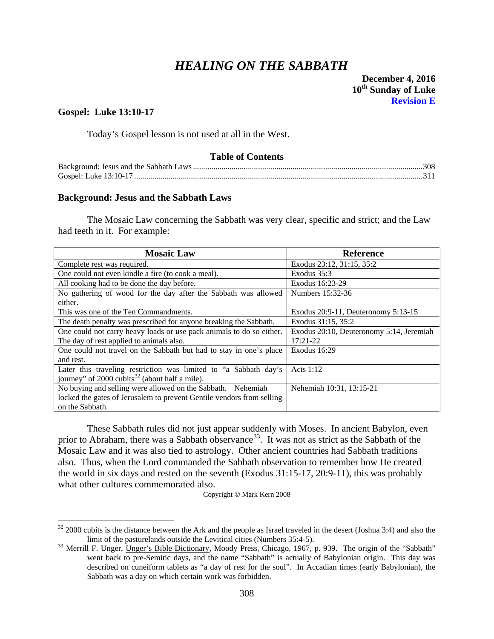# *HEALING ON THE SABBATH*

## **Gospel: Luke 13:10-17**

Today's Gospel lesson is not used at all in the West.

### **Table of Contents**

#### <span id="page-25-0"></span>**Background: Jesus and the Sabbath Laws**

The Mosaic Law concerning the Sabbath was very clear, specific and strict; and the Law had teeth in it. For example:

| <b>Mosaic Law</b>                                                     | <b>Reference</b>                         |
|-----------------------------------------------------------------------|------------------------------------------|
| Complete rest was required.                                           | Exodus 23:12, 31:15, 35:2                |
| One could not even kindle a fire (to cook a meal).                    | Exodus 35:3                              |
| All cooking had to be done the day before.                            | Exodus 16:23-29                          |
| No gathering of wood for the day after the Sabbath was allowed        | Numbers 15:32-36                         |
| either.                                                               |                                          |
| This was one of the Ten Commandments.                                 | Exodus $20:9-11$ , Deuteronomy $5:13-15$ |
| The death penalty was prescribed for anyone breaking the Sabbath.     | Exodus 31:15, 35:2                       |
| One could not carry heavy loads or use pack animals to do so either.  | Exodus 20:10, Deuteronomy 5:14, Jeremiah |
| The day of rest applied to animals also.                              | $17:21-22$                               |
| One could not travel on the Sabbath but had to stay in one's place    | Exodus 16:29                             |
| and rest.                                                             |                                          |
| Later this traveling restriction was limited to "a Sabbath day's      | Acts $1:12$                              |
| journey" of 2000 cubits <sup>32</sup> (about half a mile).            |                                          |
| No buying and selling were allowed on the Sabbath. Nehemiah           | Nehemiah 10:31, 13:15-21                 |
| locked the gates of Jerusalem to prevent Gentile vendors from selling |                                          |
| on the Sabbath.                                                       |                                          |

These Sabbath rules did not just appear suddenly with Moses. In ancient Babylon, even prior to Abraham, there was a Sabbath observance<sup>[33](#page-25-2)</sup>. It was not as strict as the Sabbath of the Mosaic Law and it was also tied to astrology. Other ancient countries had Sabbath traditions also. Thus, when the Lord commanded the Sabbath observation to remember how He created the world in six days and rested on the seventh (Exodus 31:15-17, 20:9-11), this was probably what other cultures commemorated also.

Copyright © Mark Kern 2008

<span id="page-25-1"></span> $32$  2000 cubits is the distance between the Ark and the people as Israel traveled in the desert (Joshua 3:4) and also the limit of the pasturelands outside the Levitical cities (Numbers 35:4-5). <sup>33</sup> Merrill F. Unger, Unger's Bible Dictionary, Moody Press, Chicago, 1967, p. 939. The origin of the "Sabbath"

<span id="page-25-2"></span>went back to pre-Semitic days, and the name "Sabbath" is actually of Babylonian origin. This day was described on cuneiform tablets as "a day of rest for the soul". In Accadian times (early Babylonian), the Sabbath was a day on which certain work was forbidden.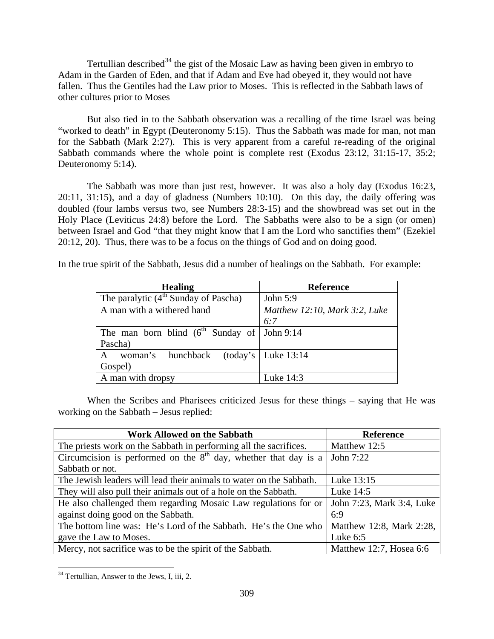Tertullian described<sup>[34](#page-26-0)</sup> the gist of the Mosaic Law as having been given in embryo to Adam in the Garden of Eden, and that if Adam and Eve had obeyed it, they would not have fallen. Thus the Gentiles had the Law prior to Moses. This is reflected in the Sabbath laws of other cultures prior to Moses

But also tied in to the Sabbath observation was a recalling of the time Israel was being "worked to death" in Egypt (Deuteronomy 5:15). Thus the Sabbath was made for man, not man for the Sabbath (Mark 2:27). This is very apparent from a careful re-reading of the original Sabbath commands where the whole point is complete rest (Exodus 23:12, 31:15-17, 35:2; Deuteronomy 5:14).

The Sabbath was more than just rest, however. It was also a holy day (Exodus 16:23, 20:11, 31:15), and a day of gladness (Numbers 10:10). On this day, the daily offering was doubled (four lambs versus two, see Numbers 28:3-15) and the showbread was set out in the Holy Place (Leviticus 24:8) before the Lord. The Sabbaths were also to be a sign (or omen) between Israel and God "that they might know that I am the Lord who sanctifies them" (Ezekiel 20:12, 20). Thus, there was to be a focus on the things of God and on doing good.

In the true spirit of the Sabbath, Jesus did a number of healings on the Sabbath. For example:

| <b>Healing</b>                                      | <b>Reference</b>              |
|-----------------------------------------------------|-------------------------------|
| The paralytic $(4^{th}$ Sunday of Pascha)           | John 5:9                      |
| A man with a withered hand                          | Matthew 12:10, Mark 3:2, Luke |
|                                                     | 6:7                           |
| The man born blind ( $6^{th}$ Sunday of   John 9:14 |                               |
| Pascha)                                             |                               |
| woman's hunchback (today's Luke 13:14<br>A          |                               |
| Gospel)                                             |                               |
| A man with dropsy                                   | Luke 14:3                     |

When the Scribes and Pharisees criticized Jesus for these things – saying that He was working on the Sabbath – Jesus replied:

| <b>Work Allowed on the Sabbath</b>                                          | <b>Reference</b>          |
|-----------------------------------------------------------------------------|---------------------------|
| The priests work on the Sabbath in performing all the sacrifices.           | Matthew 12:5              |
| Circumcision is performed on the $8th$ day, whether that day is a John 7:22 |                           |
| Sabbath or not.                                                             |                           |
| The Jewish leaders will lead their animals to water on the Sabbath.         | Luke 13:15                |
| They will also pull their animals out of a hole on the Sabbath.             | Luke 14:5                 |
| He also challenged them regarding Mosaic Law regulations for or             | John 7:23, Mark 3:4, Luke |
| against doing good on the Sabbath.                                          | 6:9                       |
| The bottom line was: He's Lord of the Sabbath. He's the One who             | Matthew 12:8, Mark 2:28,  |
| gave the Law to Moses.                                                      | Luke $6:5$                |
| Mercy, not sacrifice was to be the spirit of the Sabbath.                   | Matthew 12:7, Hosea 6:6   |

<span id="page-26-0"></span><sup>&</sup>lt;sup>34</sup> Tertullian, Answer to the Jews, I, iii, 2.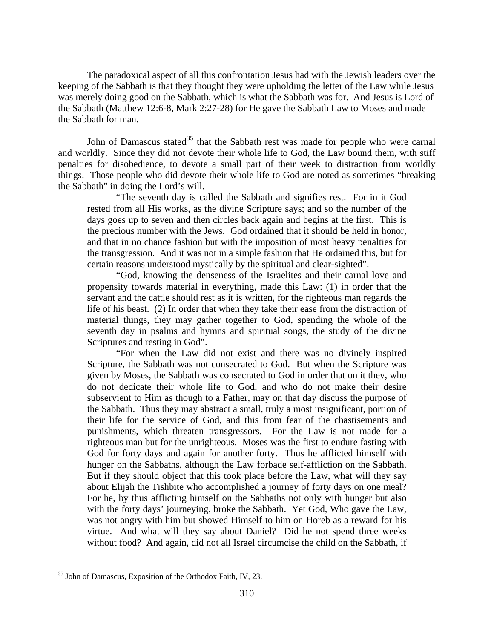The paradoxical aspect of all this confrontation Jesus had with the Jewish leaders over the keeping of the Sabbath is that they thought they were upholding the letter of the Law while Jesus was merely doing good on the Sabbath, which is what the Sabbath was for. And Jesus is Lord of the Sabbath (Matthew 12:6-8, Mark 2:27-28) for He gave the Sabbath Law to Moses and made the Sabbath for man.

John of Damascus stated<sup>[35](#page-27-0)</sup> that the Sabbath rest was made for people who were carnal and worldly. Since they did not devote their whole life to God, the Law bound them, with stiff penalties for disobedience, to devote a small part of their week to distraction from worldly things. Those people who did devote their whole life to God are noted as sometimes "breaking the Sabbath" in doing the Lord's will.

"The seventh day is called the Sabbath and signifies rest. For in it God rested from all His works, as the divine Scripture says; and so the number of the days goes up to seven and then circles back again and begins at the first. This is the precious number with the Jews. God ordained that it should be held in honor, and that in no chance fashion but with the imposition of most heavy penalties for the transgression. And it was not in a simple fashion that He ordained this, but for certain reasons understood mystically by the spiritual and clear-sighted".

"God, knowing the denseness of the Israelites and their carnal love and propensity towards material in everything, made this Law: (1) in order that the servant and the cattle should rest as it is written, for the righteous man regards the life of his beast. (2) In order that when they take their ease from the distraction of material things, they may gather together to God, spending the whole of the seventh day in psalms and hymns and spiritual songs, the study of the divine Scriptures and resting in God".

"For when the Law did not exist and there was no divinely inspired Scripture, the Sabbath was not consecrated to God. But when the Scripture was given by Moses, the Sabbath was consecrated to God in order that on it they, who do not dedicate their whole life to God, and who do not make their desire subservient to Him as though to a Father, may on that day discuss the purpose of the Sabbath. Thus they may abstract a small, truly a most insignificant, portion of their life for the service of God, and this from fear of the chastisements and punishments, which threaten transgressors. For the Law is not made for a righteous man but for the unrighteous. Moses was the first to endure fasting with God for forty days and again for another forty. Thus he afflicted himself with hunger on the Sabbaths, although the Law forbade self-affliction on the Sabbath. But if they should object that this took place before the Law, what will they say about Elijah the Tishbite who accomplished a journey of forty days on one meal? For he, by thus afflicting himself on the Sabbaths not only with hunger but also with the forty days' journeying, broke the Sabbath. Yet God, Who gave the Law, was not angry with him but showed Himself to him on Horeb as a reward for his virtue. And what will they say about Daniel? Did he not spend three weeks without food? And again, did not all Israel circumcise the child on the Sabbath, if

<span id="page-27-0"></span><sup>&</sup>lt;sup>35</sup> John of Damascus, Exposition of the Orthodox Faith, IV, 23.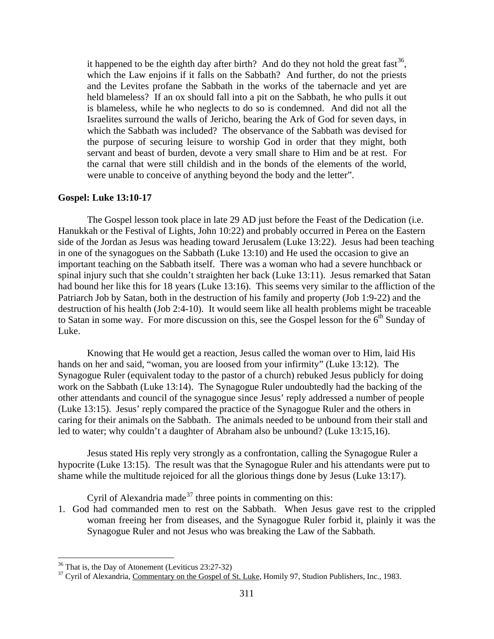it happened to be the eighth day after birth? And do they not hold the great fast<sup>[36](#page-28-1)</sup>, which the Law enjoins if it falls on the Sabbath? And further, do not the priests and the Levites profane the Sabbath in the works of the tabernacle and yet are held blameless? If an ox should fall into a pit on the Sabbath, he who pulls it out is blameless, while he who neglects to do so is condemned. And did not all the Israelites surround the walls of Jericho, bearing the Ark of God for seven days, in which the Sabbath was included? The observance of the Sabbath was devised for the purpose of securing leisure to worship God in order that they might, both servant and beast of burden, devote a very small share to Him and be at rest. For the carnal that were still childish and in the bonds of the elements of the world, were unable to conceive of anything beyond the body and the letter".

#### <span id="page-28-0"></span>**Gospel: Luke 13:10-17**

The Gospel lesson took place in late 29 AD just before the Feast of the Dedication (i.e. Hanukkah or the Festival of Lights, John 10:22) and probably occurred in Perea on the Eastern side of the Jordan as Jesus was heading toward Jerusalem (Luke 13:22). Jesus had been teaching in one of the synagogues on the Sabbath (Luke 13:10) and He used the occasion to give an important teaching on the Sabbath itself. There was a woman who had a severe hunchback or spinal injury such that she couldn't straighten her back (Luke 13:11). Jesus remarked that Satan had bound her like this for 18 years (Luke 13:16). This seems very similar to the affliction of the Patriarch Job by Satan, both in the destruction of his family and property (Job 1:9-22) and the destruction of his health (Job 2:4-10). It would seem like all health problems might be traceable to Satan in some way. For more discussion on this, see the Gospel lesson for the  $6<sup>th</sup>$  Sunday of Luke.

Knowing that He would get a reaction, Jesus called the woman over to Him, laid His hands on her and said, "woman, you are loosed from your infirmity" (Luke 13:12). The Synagogue Ruler (equivalent today to the pastor of a church) rebuked Jesus publicly for doing work on the Sabbath (Luke 13:14). The Synagogue Ruler undoubtedly had the backing of the other attendants and council of the synagogue since Jesus' reply addressed a number of people (Luke 13:15). Jesus' reply compared the practice of the Synagogue Ruler and the others in caring for their animals on the Sabbath. The animals needed to be unbound from their stall and led to water; why couldn't a daughter of Abraham also be unbound? (Luke 13:15,16).

Jesus stated His reply very strongly as a confrontation, calling the Synagogue Ruler a hypocrite (Luke 13:15). The result was that the Synagogue Ruler and his attendants were put to shame while the multitude rejoiced for all the glorious things done by Jesus (Luke 13:17).

Cyril of Alexandria made<sup>[37](#page-28-2)</sup> three points in commenting on this:

1. God had commanded men to rest on the Sabbath. When Jesus gave rest to the crippled woman freeing her from diseases, and the Synagogue Ruler forbid it, plainly it was the Synagogue Ruler and not Jesus who was breaking the Law of the Sabbath.

<span id="page-28-2"></span><span id="page-28-1"></span><sup>&</sup>lt;sup>36</sup> That is, the Day of Atonement (Leviticus 23:27-32)<br><sup>37</sup> Cyril of Alexandria, Commentary on the Gospel of St. Luke, Homily 97, Studion Publishers, Inc., 1983.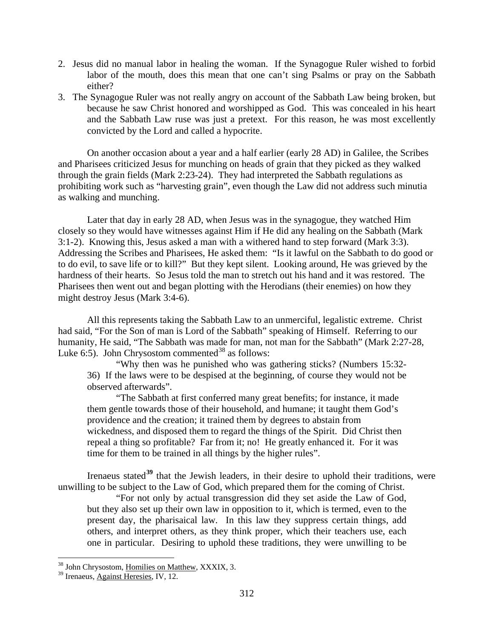- 2. Jesus did no manual labor in healing the woman. If the Synagogue Ruler wished to forbid labor of the mouth, does this mean that one can't sing Psalms or pray on the Sabbath either?
- 3. The Synagogue Ruler was not really angry on account of the Sabbath Law being broken, but because he saw Christ honored and worshipped as God. This was concealed in his heart and the Sabbath Law ruse was just a pretext. For this reason, he was most excellently convicted by the Lord and called a hypocrite.

On another occasion about a year and a half earlier (early 28 AD) in Galilee, the Scribes and Pharisees criticized Jesus for munching on heads of grain that they picked as they walked through the grain fields (Mark 2:23-24). They had interpreted the Sabbath regulations as prohibiting work such as "harvesting grain", even though the Law did not address such minutia as walking and munching.

Later that day in early 28 AD, when Jesus was in the synagogue, they watched Him closely so they would have witnesses against Him if He did any healing on the Sabbath (Mark 3:1-2). Knowing this, Jesus asked a man with a withered hand to step forward (Mark 3:3). Addressing the Scribes and Pharisees, He asked them: "Is it lawful on the Sabbath to do good or to do evil, to save life or to kill?" But they kept silent. Looking around, He was grieved by the hardness of their hearts. So Jesus told the man to stretch out his hand and it was restored. The Pharisees then went out and began plotting with the Herodians (their enemies) on how they might destroy Jesus (Mark 3:4-6).

All this represents taking the Sabbath Law to an unmerciful, legalistic extreme. Christ had said, "For the Son of man is Lord of the Sabbath" speaking of Himself. Referring to our humanity, He said, "The Sabbath was made for man, not man for the Sabbath" (Mark 2:27-28, Luke 6:5). John Chrysostom commented<sup>[38](#page-29-0)</sup> as follows:

"Why then was he punished who was gathering sticks? (Numbers 15:32- 36) If the laws were to be despised at the beginning, of course they would not be observed afterwards".

"The Sabbath at first conferred many great benefits; for instance, it made them gentle towards those of their household, and humane; it taught them God's providence and the creation; it trained them by degrees to abstain from wickedness, and disposed them to regard the things of the Spirit. Did Christ then repeal a thing so profitable? Far from it; no! He greatly enhanced it. For it was time for them to be trained in all things by the higher rules".

Irenaeus stated**[39](#page-29-1)** that the Jewish leaders, in their desire to uphold their traditions, were unwilling to be subject to the Law of God, which prepared them for the coming of Christ.

"For not only by actual transgression did they set aside the Law of God, but they also set up their own law in opposition to it, which is termed, even to the present day, the pharisaical law. In this law they suppress certain things, add others, and interpret others, as they think proper, which their teachers use, each one in particular. Desiring to uphold these traditions, they were unwilling to be

<span id="page-29-0"></span><sup>&</sup>lt;sup>38</sup> John Chrysostom, Homilies on Matthew, XXXIX, 3.

<span id="page-29-1"></span><sup>&</sup>lt;sup>39</sup> Irenaeus, Against Heresies, IV, 12.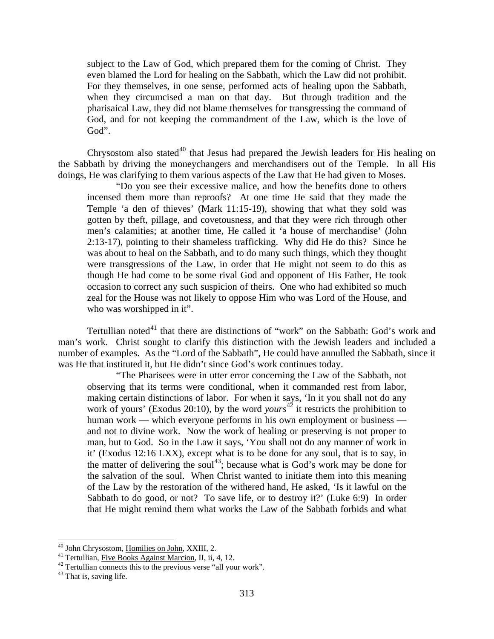subject to the Law of God, which prepared them for the coming of Christ. They even blamed the Lord for healing on the Sabbath, which the Law did not prohibit. For they themselves, in one sense, performed acts of healing upon the Sabbath, when they circumcised a man on that day. But through tradition and the pharisaical Law, they did not blame themselves for transgressing the command of God, and for not keeping the commandment of the Law, which is the love of God".

Chrysostom also stated<sup>[40](#page-30-0)</sup> that Jesus had prepared the Jewish leaders for His healing on the Sabbath by driving the moneychangers and merchandisers out of the Temple. In all His doings, He was clarifying to them various aspects of the Law that He had given to Moses.

"Do you see their excessive malice, and how the benefits done to others incensed them more than reproofs? At one time He said that they made the Temple 'a den of thieves' (Mark 11:15-19), showing that what they sold was gotten by theft, pillage, and covetousness, and that they were rich through other men's calamities; at another time, He called it 'a house of merchandise' (John 2:13-17), pointing to their shameless trafficking. Why did He do this? Since he was about to heal on the Sabbath, and to do many such things, which they thought were transgressions of the Law, in order that He might not seem to do this as though He had come to be some rival God and opponent of His Father, He took occasion to correct any such suspicion of theirs. One who had exhibited so much zeal for the House was not likely to oppose Him who was Lord of the House, and who was worshipped in it".

Tertullian noted $^{41}$  $^{41}$  $^{41}$  that there are distinctions of "work" on the Sabbath: God's work and man's work. Christ sought to clarify this distinction with the Jewish leaders and included a number of examples. As the "Lord of the Sabbath", He could have annulled the Sabbath, since it was He that instituted it, but He didn't since God's work continues today.

"The Pharisees were in utter error concerning the Law of the Sabbath, not observing that its terms were conditional, when it commanded rest from labor, making certain distinctions of labor. For when it says, 'In it you shall not do any work of yours' (Exodus 20:10), by the word *yours* [42](#page-30-2) it restricts the prohibition to human work — which everyone performs in his own employment or business and not to divine work. Now the work of healing or preserving is not proper to man, but to God. So in the Law it says, 'You shall not do any manner of work in it' (Exodus 12:16 LXX), except what is to be done for any soul, that is to say, in the matter of delivering the soul<sup>[43](#page-30-3)</sup>; because what is God's work may be done for the salvation of the soul. When Christ wanted to initiate them into this meaning of the Law by the restoration of the withered hand, He asked, 'Is it lawful on the Sabbath to do good, or not? To save life, or to destroy it?' (Luke 6:9) In order that He might remind them what works the Law of the Sabbath forbids and what

<span id="page-30-2"></span>

<span id="page-30-1"></span><span id="page-30-0"></span><sup>&</sup>lt;sup>40</sup> John Chrysostom, <u>Homilies on John</u>, XXIII, 2.<br><sup>41</sup> Tertullian, <u>Five Books Against Marcion</u>, II, ii, 4, 12.<br><sup>42</sup> Tertullian connects this to the previous verse "all your work".<br><sup>43</sup> That is, saving life.

<span id="page-30-3"></span>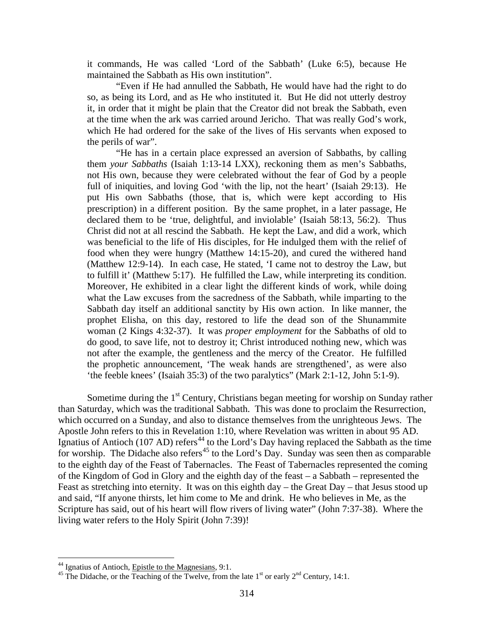it commands, He was called 'Lord of the Sabbath' (Luke 6:5), because He maintained the Sabbath as His own institution".

"Even if He had annulled the Sabbath, He would have had the right to do so, as being its Lord, and as He who instituted it. But He did not utterly destroy it, in order that it might be plain that the Creator did not break the Sabbath, even at the time when the ark was carried around Jericho. That was really God's work, which He had ordered for the sake of the lives of His servants when exposed to the perils of war".

"He has in a certain place expressed an aversion of Sabbaths, by calling them *your Sabbaths* (Isaiah 1:13-14 LXX), reckoning them as men's Sabbaths, not His own, because they were celebrated without the fear of God by a people full of iniquities, and loving God 'with the lip, not the heart' (Isaiah 29:13). He put His own Sabbaths (those, that is, which were kept according to His prescription) in a different position. By the same prophet, in a later passage, He declared them to be 'true, delightful, and inviolable' (Isaiah 58:13, 56:2). Thus Christ did not at all rescind the Sabbath. He kept the Law, and did a work, which was beneficial to the life of His disciples, for He indulged them with the relief of food when they were hungry (Matthew 14:15-20), and cured the withered hand (Matthew 12:9-14). In each case, He stated, 'I came not to destroy the Law, but to fulfill it' (Matthew 5:17). He fulfilled the Law, while interpreting its condition. Moreover, He exhibited in a clear light the different kinds of work, while doing what the Law excuses from the sacredness of the Sabbath, while imparting to the Sabbath day itself an additional sanctity by His own action. In like manner, the prophet Elisha, on this day, restored to life the dead son of the Shunammite woman (2 Kings 4:32-37). It was *proper employment* for the Sabbaths of old to do good, to save life, not to destroy it; Christ introduced nothing new, which was not after the example, the gentleness and the mercy of the Creator. He fulfilled the prophetic announcement, 'The weak hands are strengthened', as were also 'the feeble knees' (Isaiah 35:3) of the two paralytics" (Mark 2:1-12, John 5:1-9).

Sometime during the 1<sup>st</sup> Century, Christians began meeting for worship on Sunday rather than Saturday, which was the traditional Sabbath. This was done to proclaim the Resurrection, which occurred on a Sunday, and also to distance themselves from the unrighteous Jews. The Apostle John refers to this in Revelation 1:10, where Revelation was written in about 95 AD. Ignatius of Antioch (107 AD) refers<sup>[44](#page-31-0)</sup> to the Lord's Day having replaced the Sabbath as the time for worship. The Didache also refers<sup>[45](#page-31-1)</sup> to the Lord's Day. Sunday was seen then as comparable to the eighth day of the Feast of Tabernacles. The Feast of Tabernacles represented the coming of the Kingdom of God in Glory and the eighth day of the feast – a Sabbath – represented the Feast as stretching into eternity. It was on this eighth day – the Great Day – that Jesus stood up and said, "If anyone thirsts, let him come to Me and drink. He who believes in Me, as the Scripture has said, out of his heart will flow rivers of living water" (John 7:37-38). Where the living water refers to the Holy Spirit (John 7:39)!

<span id="page-31-1"></span><span id="page-31-0"></span><sup>&</sup>lt;sup>44</sup> Ignatius of Antioch, <u>Epistle to the Magnesians</u>, 9:1.<br><sup>45</sup> The Didache, or the Teaching of the Twelve, from the late 1<sup>st</sup> or early 2<sup>nd</sup> Century, 14:1.